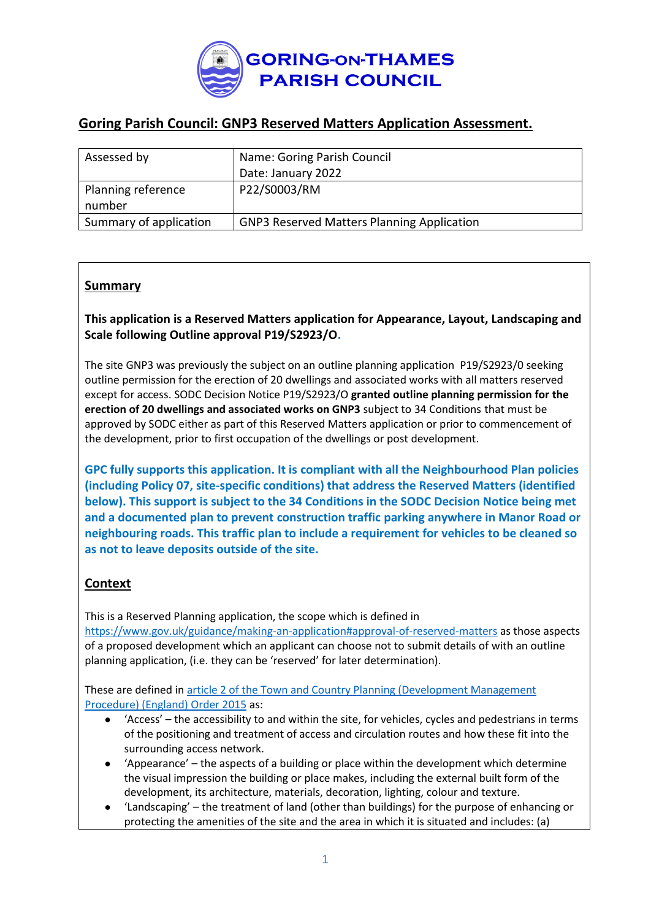

## **Goring Parish Council: GNP3 Reserved Matters Application Assessment.**

| Assessed by            | Name: Goring Parish Council                       |
|------------------------|---------------------------------------------------|
|                        | Date: January 2022                                |
| Planning reference     | P22/S0003/RM                                      |
| number                 |                                                   |
| Summary of application | <b>GNP3 Reserved Matters Planning Application</b> |

### **Summary**

**This application is a Reserved Matters application for Appearance, Layout, Landscaping and Scale following Outline approval P19/S2923/O.** 

The site GNP3 was previously the subject on an outline planning application P19/S2923/0 seeking outline permission for the erection of 20 dwellings and associated works with all matters reserved except for access. SODC Decision Notice P19/S2923/O **granted outline planning permission for the erection of 20 dwellings and associated works on GNP3** subject to 34 Conditions that must be approved by SODC either as part of this Reserved Matters application or prior to commencement of the development, prior to first occupation of the dwellings or post development.

**GPC fully supports this application. It is compliant with all the Neighbourhood Plan policies (including Policy 07, site-specific conditions) that address the Reserved Matters (identified below). This support is subject to the 34 Conditions in the SODC Decision Notice being met and a documented plan to prevent construction traffic parking anywhere in Manor Road or neighbouring roads. This traffic plan to include a requirement for vehicles to be cleaned so as not to leave deposits outside of the site.** 

### **Context**

This is a Reserved Planning application, the scope which is defined in <https://www.gov.uk/guidance/making-an-application#approval-of-reserved-matters> as those aspects of a proposed development which an applicant can choose not to submit details of with an outline planning application, (i.e. they can be 'reserved' for later determination).

These are defined in [article 2 of the Town and Country Planning \(Development Management](http://www.legislation.gov.uk/uksi/2015/595/article/2/made)  [Procedure\) \(England\) Order 2015](http://www.legislation.gov.uk/uksi/2015/595/article/2/made) as:

- 'Access' the accessibility to and within the site, for vehicles, cycles and pedestrians in terms of the positioning and treatment of access and circulation routes and how these fit into the surrounding access network.
- 'Appearance' the aspects of a building or place within the development which determine the visual impression the building or place makes, including the external built form of the development, its architecture, materials, decoration, lighting, colour and texture.
- 'Landscaping' the treatment of land (other than buildings) for the purpose of enhancing or protecting the amenities of the site and the area in which it is situated and includes: (a)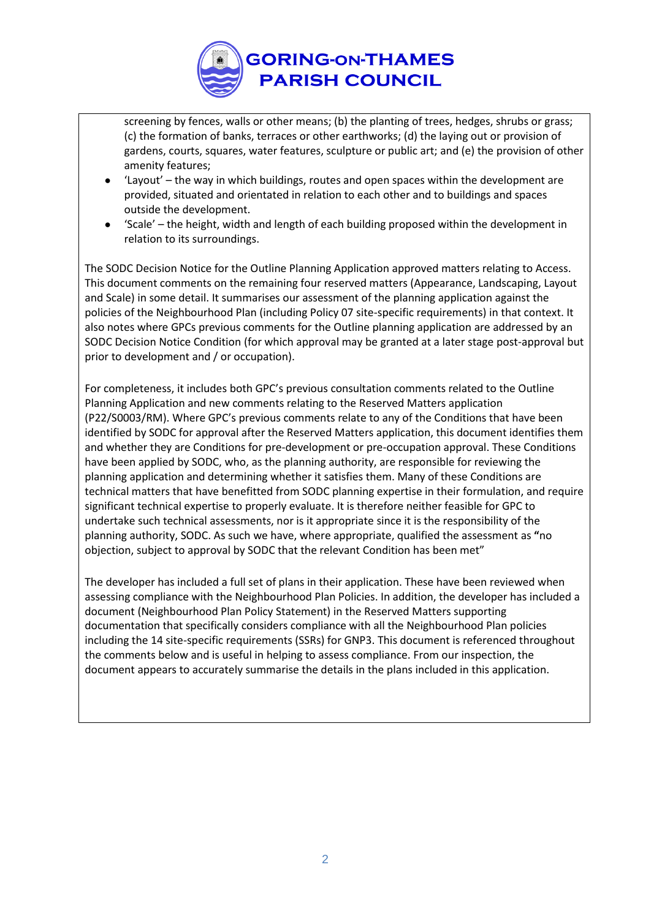

screening by fences, walls or other means; (b) the planting of trees, hedges, shrubs or grass; (c) the formation of banks, terraces or other earthworks; (d) the laying out or provision of gardens, courts, squares, water features, sculpture or public art; and (e) the provision of other amenity features;

- 'Layout'  $-$  the way in which buildings, routes and open spaces within the development are provided, situated and orientated in relation to each other and to buildings and spaces outside the development.
- 'Scale' the height, width and length of each building proposed within the development in relation to its surroundings.

The SODC Decision Notice for the Outline Planning Application approved matters relating to Access. This document comments on the remaining four reserved matters (Appearance, Landscaping, Layout and Scale) in some detail. It summarises our assessment of the planning application against the policies of the Neighbourhood Plan (including Policy 07 site-specific requirements) in that context. It also notes where GPCs previous comments for the Outline planning application are addressed by an SODC Decision Notice Condition (for which approval may be granted at a later stage post-approval but prior to development and / or occupation).

For completeness, it includes both GPC's previous consultation comments related to the Outline Planning Application and new comments relating to the Reserved Matters application (P22/S0003/RM). Where GPC's previous comments relate to any of the Conditions that have been identified by SODC for approval after the Reserved Matters application, this document identifies them and whether they are Conditions for pre-development or pre-occupation approval. These Conditions have been applied by SODC, who, as the planning authority, are responsible for reviewing the planning application and determining whether it satisfies them. Many of these Conditions are technical matters that have benefitted from SODC planning expertise in their formulation, and require significant technical expertise to properly evaluate. It is therefore neither feasible for GPC to undertake such technical assessments, nor is it appropriate since it is the responsibility of the planning authority, SODC. As such we have, where appropriate, qualified the assessment as **"**no objection, subject to approval by SODC that the relevant Condition has been met"

The developer has included a full set of plans in their application. These have been reviewed when assessing compliance with the Neighbourhood Plan Policies. In addition, the developer has included a document (Neighbourhood Plan Policy Statement) in the Reserved Matters supporting documentation that specifically considers compliance with all the Neighbourhood Plan policies including the 14 site-specific requirements (SSRs) for GNP3. This document is referenced throughout the comments below and is useful in helping to assess compliance. From our inspection, the document appears to accurately summarise the details in the plans included in this application.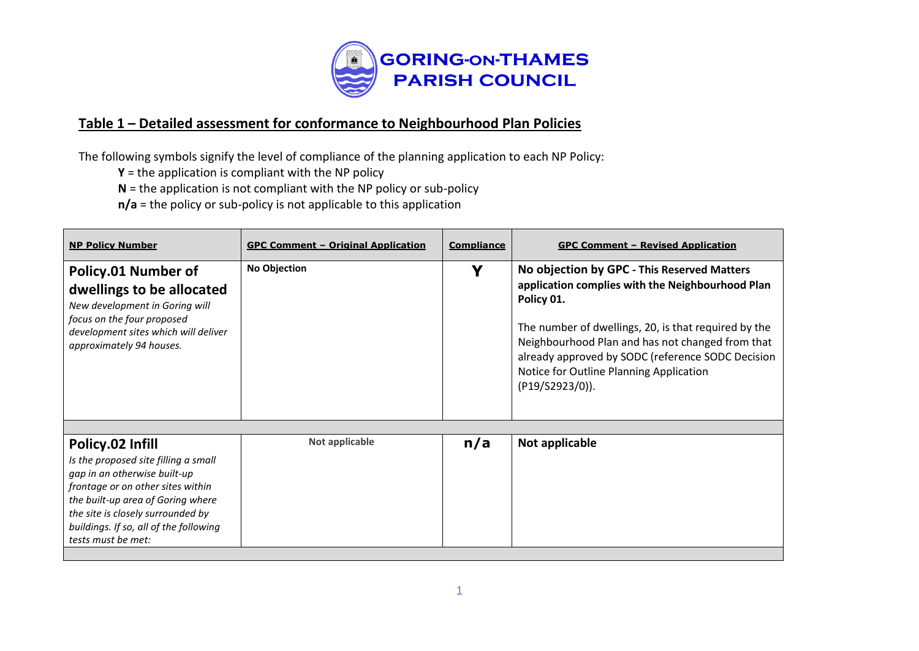

## **Table 1 – Detailed assessment for conformance to Neighbourhood Plan Policies**

The following symbols signify the level of compliance of the planning application to each NP Policy:

**Y** = the application is compliant with the NP policy

**N** = the application is not compliant with the NP policy or sub-policy

**n/a** = the policy or sub-policy is not applicable to this application

| <b>NP Policy Number</b>                                                                                                                                                                                                                                                 | <b>GPC Comment - Original Application</b> | <b>Compliance</b> | <b>GPC Comment - Revised Application</b>                                                                                                                                                                                                                                                                                                     |
|-------------------------------------------------------------------------------------------------------------------------------------------------------------------------------------------------------------------------------------------------------------------------|-------------------------------------------|-------------------|----------------------------------------------------------------------------------------------------------------------------------------------------------------------------------------------------------------------------------------------------------------------------------------------------------------------------------------------|
| Policy.01 Number of<br>dwellings to be allocated<br>New development in Goring will<br>focus on the four proposed<br>development sites which will deliver<br>approximately 94 houses.                                                                                    | <b>No Objection</b>                       | v                 | No objection by GPC - This Reserved Matters<br>application complies with the Neighbourhood Plan<br>Policy 01.<br>The number of dwellings, 20, is that required by the<br>Neighbourhood Plan and has not changed from that<br>already approved by SODC (reference SODC Decision<br>Notice for Outline Planning Application<br>(P19/S2923/0)). |
|                                                                                                                                                                                                                                                                         |                                           |                   |                                                                                                                                                                                                                                                                                                                                              |
| Policy.02 Infill<br>Is the proposed site filling a small<br>gap in an otherwise built-up<br>frontage or on other sites within<br>the built-up area of Goring where<br>the site is closely surrounded by<br>buildings. If so, all of the following<br>tests must be met: | Not applicable                            | n/a               | Not applicable                                                                                                                                                                                                                                                                                                                               |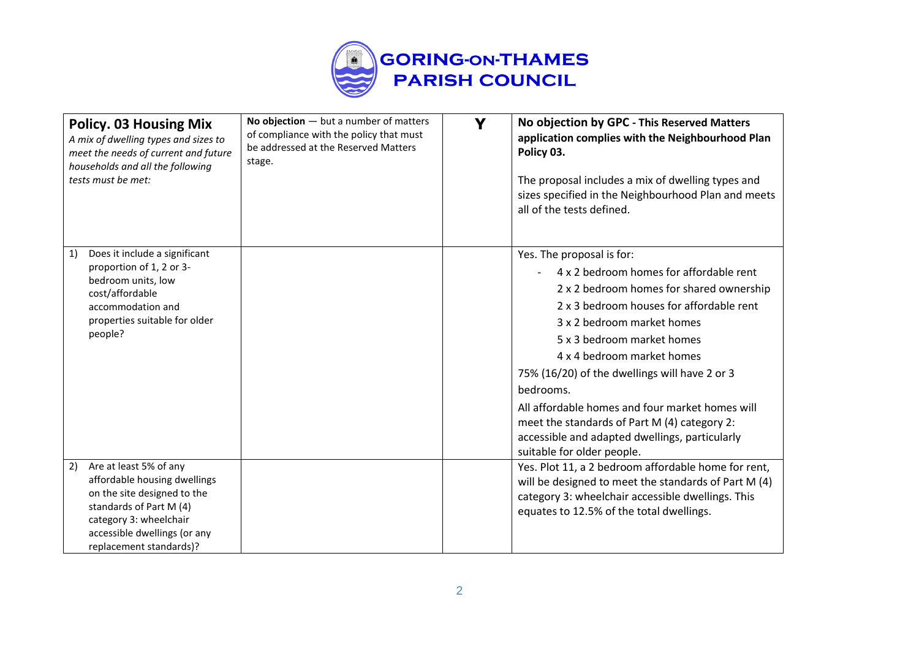

| <b>Policy. 03 Housing Mix</b><br>A mix of dwelling types and sizes to<br>meet the needs of current and future<br>households and all the following<br>tests must be met:                                     | No objection $-$ but a number of matters<br>of compliance with the policy that must<br>be addressed at the Reserved Matters<br>stage. | Y | No objection by GPC - This Reserved Matters<br>application complies with the Neighbourhood Plan<br>Policy 03.<br>The proposal includes a mix of dwelling types and<br>sizes specified in the Neighbourhood Plan and meets<br>all of the tests defined.                                                                                                                                                                                                                                                  |
|-------------------------------------------------------------------------------------------------------------------------------------------------------------------------------------------------------------|---------------------------------------------------------------------------------------------------------------------------------------|---|---------------------------------------------------------------------------------------------------------------------------------------------------------------------------------------------------------------------------------------------------------------------------------------------------------------------------------------------------------------------------------------------------------------------------------------------------------------------------------------------------------|
| Does it include a significant<br>1)<br>proportion of 1, 2 or 3-<br>bedroom units, low<br>cost/affordable<br>accommodation and<br>properties suitable for older<br>people?                                   |                                                                                                                                       |   | Yes. The proposal is for:<br>4 x 2 bedroom homes for affordable rent<br>2 x 2 bedroom homes for shared ownership<br>2 x 3 bedroom houses for affordable rent<br>3 x 2 bedroom market homes<br>5 x 3 bedroom market homes<br>4 x 4 bedroom market homes<br>75% (16/20) of the dwellings will have 2 or 3<br>bedrooms.<br>All affordable homes and four market homes will<br>meet the standards of Part M (4) category 2:<br>accessible and adapted dwellings, particularly<br>suitable for older people. |
| Are at least 5% of any<br>2)<br>affordable housing dwellings<br>on the site designed to the<br>standards of Part M (4)<br>category 3: wheelchair<br>accessible dwellings (or any<br>replacement standards)? |                                                                                                                                       |   | Yes. Plot 11, a 2 bedroom affordable home for rent,<br>will be designed to meet the standards of Part M (4)<br>category 3: wheelchair accessible dwellings. This<br>equates to 12.5% of the total dwellings.                                                                                                                                                                                                                                                                                            |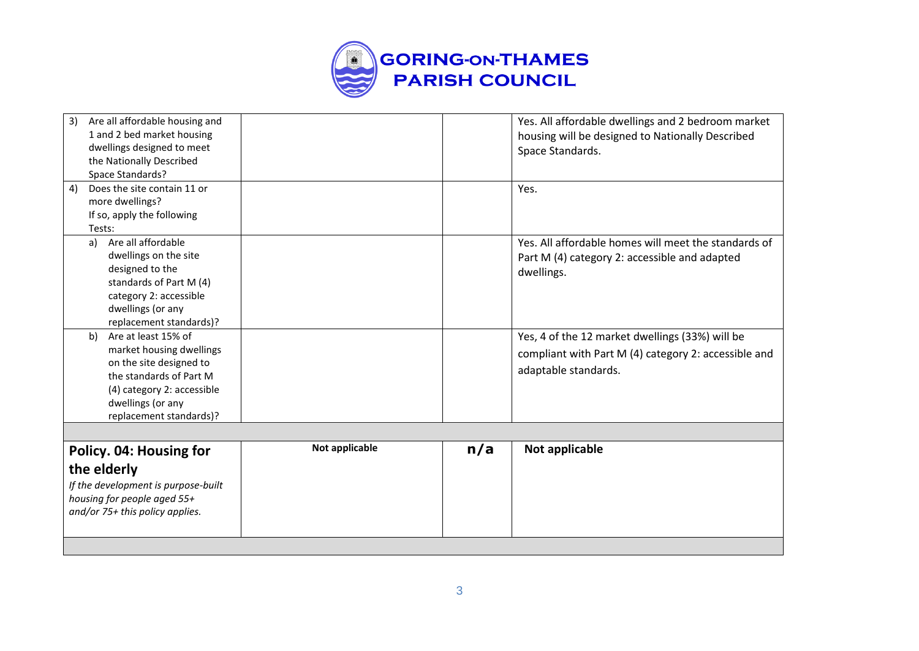

| Are all affordable housing and<br>3)<br>1 and 2 bed market housing<br>dwellings designed to meet<br>the Nationally Described                                                              |                |     | Yes. All affordable dwellings and 2 bedroom market<br>housing will be designed to Nationally Described<br>Space Standards.      |
|-------------------------------------------------------------------------------------------------------------------------------------------------------------------------------------------|----------------|-----|---------------------------------------------------------------------------------------------------------------------------------|
| Space Standards?                                                                                                                                                                          |                |     |                                                                                                                                 |
| Does the site contain 11 or<br>4)<br>more dwellings?<br>If so, apply the following<br>Tests:                                                                                              |                |     | Yes.                                                                                                                            |
| Are all affordable<br>a)<br>dwellings on the site<br>designed to the<br>standards of Part M (4)<br>category 2: accessible<br>dwellings (or any<br>replacement standards)?                 |                |     | Yes. All affordable homes will meet the standards of<br>Part M (4) category 2: accessible and adapted<br>dwellings.             |
| Are at least 15% of<br>b)<br>market housing dwellings<br>on the site designed to<br>the standards of Part M<br>(4) category 2: accessible<br>dwellings (or any<br>replacement standards)? |                |     | Yes, 4 of the 12 market dwellings (33%) will be<br>compliant with Part M (4) category 2: accessible and<br>adaptable standards. |
|                                                                                                                                                                                           |                |     |                                                                                                                                 |
| Policy. 04: Housing for<br>the elderly<br>If the development is purpose-built<br>housing for people aged 55+<br>and/or 75+ this policy applies.                                           | Not applicable | n/a | Not applicable                                                                                                                  |
|                                                                                                                                                                                           |                |     |                                                                                                                                 |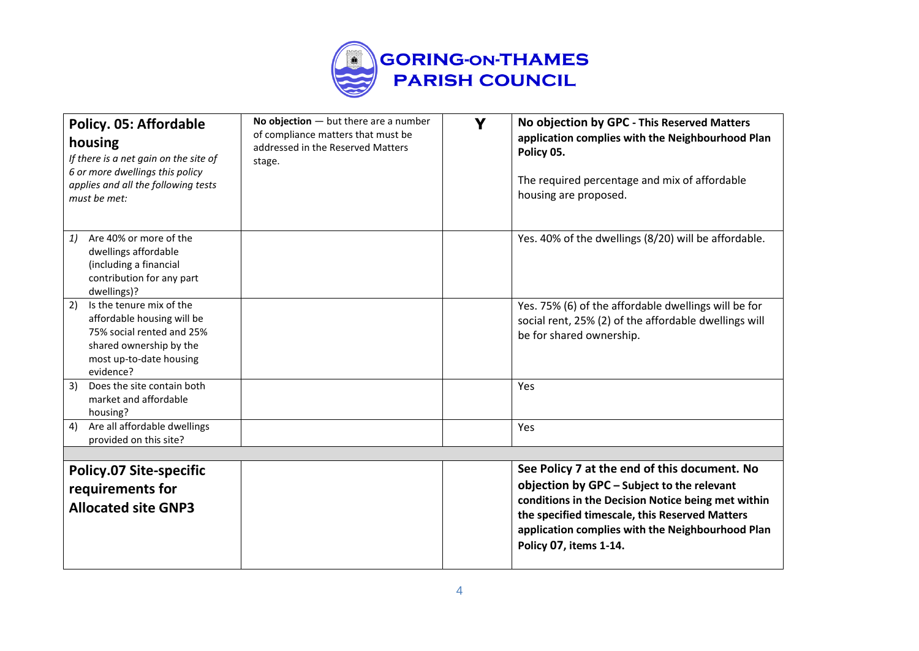

| Policy. 05: Affordable<br>housing<br>If there is a net gain on the site of<br>6 or more dwellings this policy<br>applies and all the following tests<br>must be met: | No objection $-$ but there are a number<br>of compliance matters that must be<br>addressed in the Reserved Matters<br>stage. | Y | No objection by GPC - This Reserved Matters<br>application complies with the Neighbourhood Plan<br>Policy 05.<br>The required percentage and mix of affordable<br>housing are proposed.                                                                                          |
|----------------------------------------------------------------------------------------------------------------------------------------------------------------------|------------------------------------------------------------------------------------------------------------------------------|---|----------------------------------------------------------------------------------------------------------------------------------------------------------------------------------------------------------------------------------------------------------------------------------|
| Are 40% or more of the<br>1)<br>dwellings affordable<br>(including a financial<br>contribution for any part<br>dwellings)?                                           |                                                                                                                              |   | Yes. 40% of the dwellings (8/20) will be affordable.                                                                                                                                                                                                                             |
| 2)<br>Is the tenure mix of the<br>affordable housing will be<br>75% social rented and 25%<br>shared ownership by the<br>most up-to-date housing<br>evidence?         |                                                                                                                              |   | Yes. 75% (6) of the affordable dwellings will be for<br>social rent, 25% (2) of the affordable dwellings will<br>be for shared ownership.                                                                                                                                        |
| 3)<br>Does the site contain both<br>market and affordable<br>housing?                                                                                                |                                                                                                                              |   | Yes                                                                                                                                                                                                                                                                              |
| Are all affordable dwellings<br>4)<br>provided on this site?                                                                                                         |                                                                                                                              |   | Yes                                                                                                                                                                                                                                                                              |
|                                                                                                                                                                      |                                                                                                                              |   |                                                                                                                                                                                                                                                                                  |
| <b>Policy.07 Site-specific</b><br>requirements for<br><b>Allocated site GNP3</b>                                                                                     |                                                                                                                              |   | See Policy 7 at the end of this document. No<br>objection by GPC - Subject to the relevant<br>conditions in the Decision Notice being met within<br>the specified timescale, this Reserved Matters<br>application complies with the Neighbourhood Plan<br>Policy 07, items 1-14. |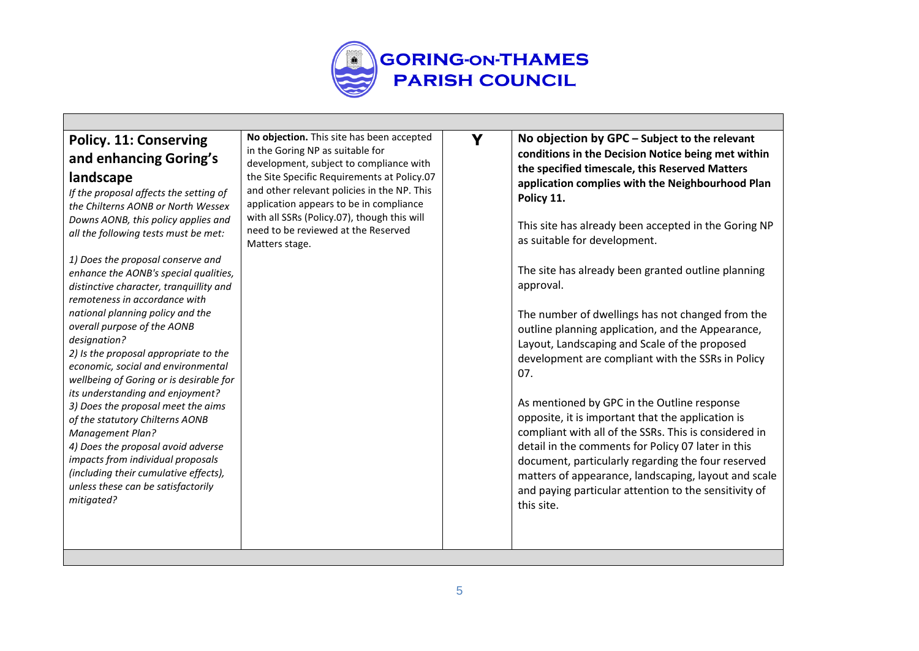

# **Policy. 11: Conserving and enhancing Goring's landscape**

*If the proposal affects the setting of the Chilterns AONB or North Wessex Downs AONB, this policy applies and all the following tests must be met:*

*1) Does the proposal conserve and enhance the AONB's special qualities, distinctive character, tranquillity and remoteness in accordance with national planning policy and the overall purpose of the AONB designation?*

*2) Is the proposal appropriate to the economic, social and environmental wellbeing of Goring or is desirable for its understanding and enjoyment? 3) Does the proposal meet the aims of the statutory Chilterns AONB Management Plan? 4) Does the proposal avoid adverse impacts from individual proposals* 

*(including their cumulative effects), unless these can be satisfactorily mitigated?*

**No objection.** This site has been accepted in the Goring NP as suitable for development, subject to compliance with the Site Specific Requirements at Policy.07 and other relevant policies in the NP. This application appears to be in compliance with all SSRs (Policy.07), though this will need to be reviewed at the Reserved Matters stage.

**Y No objection by GPC – Subject to the relevant conditions in the Decision Notice being met within the specified timescale, this Reserved Matters application complies with the Neighbourhood Plan Policy 11.**

> This site has already been accepted in the Goring NP as suitable for development.

The site has already been granted outline planning approval.

The number of dwellings has not changed from the outline planning application, and the Appearance, Layout, Landscaping and Scale of the proposed development are compliant with the SSRs in Policy 07.

As mentioned by GPC in the Outline response opposite, it is important that the application is compliant with all of the SSRs. This is considered in detail in the comments for Policy 07 later in this document, particularly regarding the four reserved matters of appearance, landscaping, layout and scale and paying particular attention to the sensitivity of this site.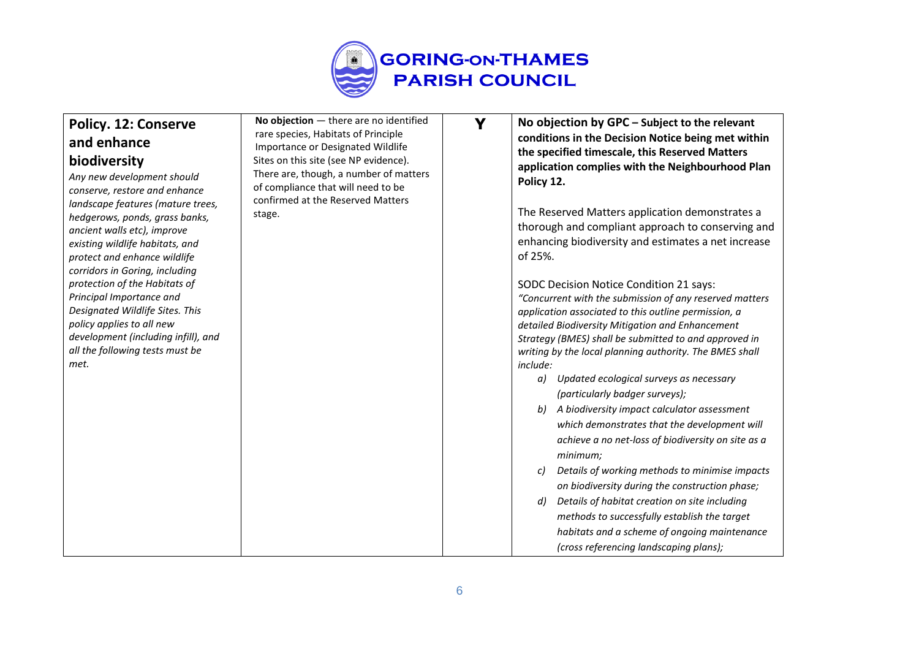

| <b>Policy. 12: Conserve</b><br>and enhance                                                                                                                                                                                                                                                                                                                                                                                                                                                            | No objection $-$ there are no identified<br>rare species, Habitats of Principle<br>Importance or Designated Wildlife<br>Sites on this site (see NP evidence). | Y | No objection by GPC - Subject to the relevant<br>conditions in the Decision Notice being met within<br>the specified timescale, this Reserved Matters                                                                                                                                                                                                                                                                                                                                                                                                                                                                                                                                                                                                                                                                                                                                                                                                                                                                                                                                                                                                            |
|-------------------------------------------------------------------------------------------------------------------------------------------------------------------------------------------------------------------------------------------------------------------------------------------------------------------------------------------------------------------------------------------------------------------------------------------------------------------------------------------------------|---------------------------------------------------------------------------------------------------------------------------------------------------------------|---|------------------------------------------------------------------------------------------------------------------------------------------------------------------------------------------------------------------------------------------------------------------------------------------------------------------------------------------------------------------------------------------------------------------------------------------------------------------------------------------------------------------------------------------------------------------------------------------------------------------------------------------------------------------------------------------------------------------------------------------------------------------------------------------------------------------------------------------------------------------------------------------------------------------------------------------------------------------------------------------------------------------------------------------------------------------------------------------------------------------------------------------------------------------|
| biodiversity<br>Any new development should<br>conserve, restore and enhance<br>landscape features (mature trees,<br>hedgerows, ponds, grass banks,<br>ancient walls etc), improve<br>existing wildlife habitats, and<br>protect and enhance wildlife<br>corridors in Goring, including<br>protection of the Habitats of<br>Principal Importance and<br>Designated Wildlife Sites. This<br>policy applies to all new<br>development (including infill), and<br>all the following tests must be<br>met. | There are, though, a number of matters<br>of compliance that will need to be<br>confirmed at the Reserved Matters<br>stage.                                   |   | application complies with the Neighbourhood Plan<br>Policy 12.<br>The Reserved Matters application demonstrates a<br>thorough and compliant approach to conserving and<br>enhancing biodiversity and estimates a net increase<br>of 25%.<br>SODC Decision Notice Condition 21 says:<br>"Concurrent with the submission of any reserved matters<br>application associated to this outline permission, a<br>detailed Biodiversity Mitigation and Enhancement<br>Strategy (BMES) shall be submitted to and approved in<br>writing by the local planning authority. The BMES shall<br><i>include:</i><br>Updated ecological surveys as necessary<br>a)<br>(particularly badger surveys);<br>A biodiversity impact calculator assessment<br>which demonstrates that the development will<br>achieve a no net-loss of biodiversity on site as a<br>minimum;<br>Details of working methods to minimise impacts<br>c)<br>on biodiversity during the construction phase;<br>Details of habitat creation on site including<br>d)<br>methods to successfully establish the target<br>habitats and a scheme of ongoing maintenance<br>(cross referencing landscaping plans); |
|                                                                                                                                                                                                                                                                                                                                                                                                                                                                                                       |                                                                                                                                                               |   |                                                                                                                                                                                                                                                                                                                                                                                                                                                                                                                                                                                                                                                                                                                                                                                                                                                                                                                                                                                                                                                                                                                                                                  |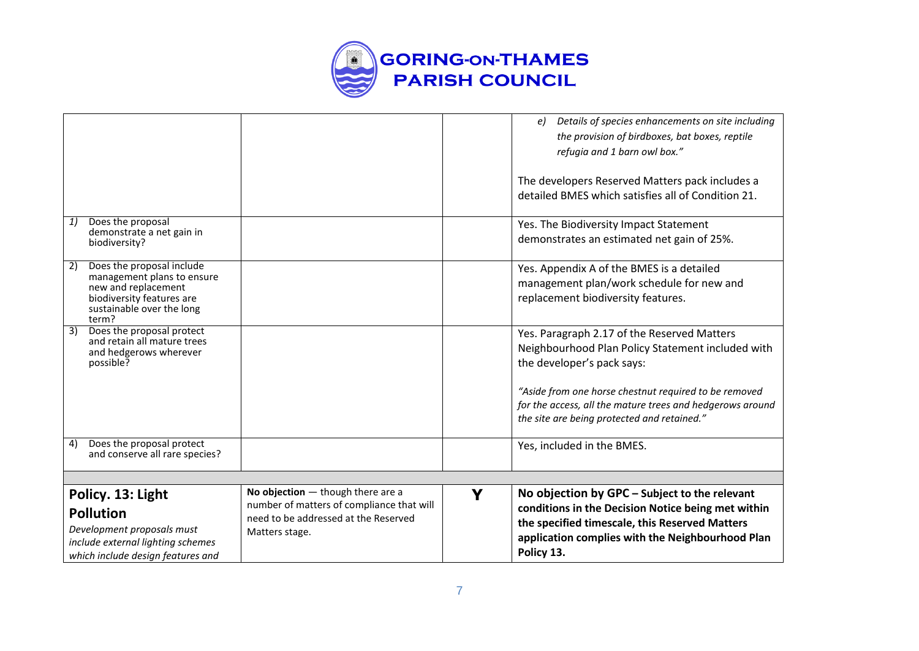

|                                                                                                                                                         |                                                                                                                                            |   | Details of species enhancements on site including<br>e)<br>the provision of birdboxes, bat boxes, reptile<br>refugia and 1 barn owl box."                                                                               |
|---------------------------------------------------------------------------------------------------------------------------------------------------------|--------------------------------------------------------------------------------------------------------------------------------------------|---|-------------------------------------------------------------------------------------------------------------------------------------------------------------------------------------------------------------------------|
|                                                                                                                                                         |                                                                                                                                            |   | The developers Reserved Matters pack includes a<br>detailed BMES which satisfies all of Condition 21.                                                                                                                   |
| Does the proposal<br>1)<br>demonstrate a net gain in<br>biodiversity?                                                                                   |                                                                                                                                            |   | Yes. The Biodiversity Impact Statement<br>demonstrates an estimated net gain of 25%.                                                                                                                                    |
| Does the proposal include<br>2)<br>management plans to ensure<br>new and replacement<br>biodiversity features are<br>sustainable over the long<br>term? |                                                                                                                                            |   | Yes. Appendix A of the BMES is a detailed<br>management plan/work schedule for new and<br>replacement biodiversity features.                                                                                            |
| $\overline{3}$<br>Does the proposal protect<br>and retain all mature trees<br>and hedgerows wherever<br>possible?                                       |                                                                                                                                            |   | Yes. Paragraph 2.17 of the Reserved Matters<br>Neighbourhood Plan Policy Statement included with<br>the developer's pack says:                                                                                          |
|                                                                                                                                                         |                                                                                                                                            |   | "Aside from one horse chestnut required to be removed<br>for the access, all the mature trees and hedgerows around<br>the site are being protected and retained."                                                       |
| Does the proposal protect<br>4)<br>and conserve all rare species?                                                                                       |                                                                                                                                            |   | Yes, included in the BMES.                                                                                                                                                                                              |
|                                                                                                                                                         |                                                                                                                                            |   |                                                                                                                                                                                                                         |
| Policy. 13: Light<br><b>Pollution</b><br>Development proposals must<br>include external lighting schemes<br>which include design features and           | No objection $-$ though there are a<br>number of matters of compliance that will<br>need to be addressed at the Reserved<br>Matters stage. | Y | No objection by GPC - Subject to the relevant<br>conditions in the Decision Notice being met within<br>the specified timescale, this Reserved Matters<br>application complies with the Neighbourhood Plan<br>Policy 13. |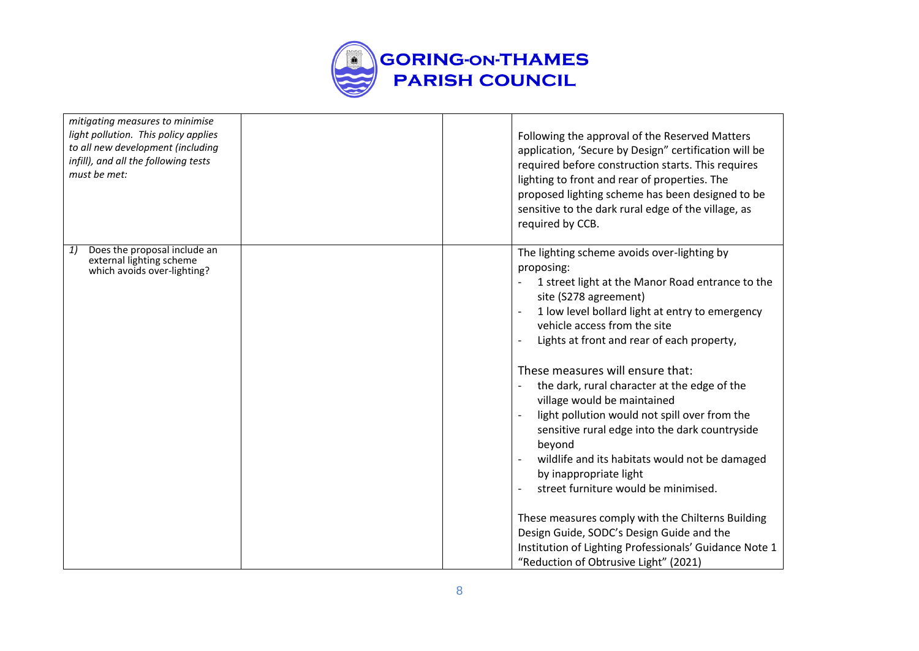

| mitigating measures to minimise<br>light pollution. This policy applies<br>to all new development (including<br>infill), and all the following tests<br>must be met: | Following the approval of the Reserved Matters<br>application, 'Secure by Design" certification will be<br>required before construction starts. This requires<br>lighting to front and rear of properties. The<br>proposed lighting scheme has been designed to be<br>sensitive to the dark rural edge of the village, as<br>required by CCB.                                                                                                                                                                                                                                                                                                                                                                                                                                                                                                                                            |
|----------------------------------------------------------------------------------------------------------------------------------------------------------------------|------------------------------------------------------------------------------------------------------------------------------------------------------------------------------------------------------------------------------------------------------------------------------------------------------------------------------------------------------------------------------------------------------------------------------------------------------------------------------------------------------------------------------------------------------------------------------------------------------------------------------------------------------------------------------------------------------------------------------------------------------------------------------------------------------------------------------------------------------------------------------------------|
| Does the proposal include an<br>1)<br>external lighting scheme<br>which avoids over-lighting?                                                                        | The lighting scheme avoids over-lighting by<br>proposing:<br>1 street light at the Manor Road entrance to the<br>$\overline{\phantom{a}}$<br>site (S278 agreement)<br>1 low level bollard light at entry to emergency<br>vehicle access from the site<br>Lights at front and rear of each property,<br>These measures will ensure that:<br>the dark, rural character at the edge of the<br>$\overline{\phantom{m}}$<br>village would be maintained<br>light pollution would not spill over from the<br>sensitive rural edge into the dark countryside<br>beyond<br>wildlife and its habitats would not be damaged<br>by inappropriate light<br>street furniture would be minimised.<br>These measures comply with the Chilterns Building<br>Design Guide, SODC's Design Guide and the<br>Institution of Lighting Professionals' Guidance Note 1<br>"Reduction of Obtrusive Light" (2021) |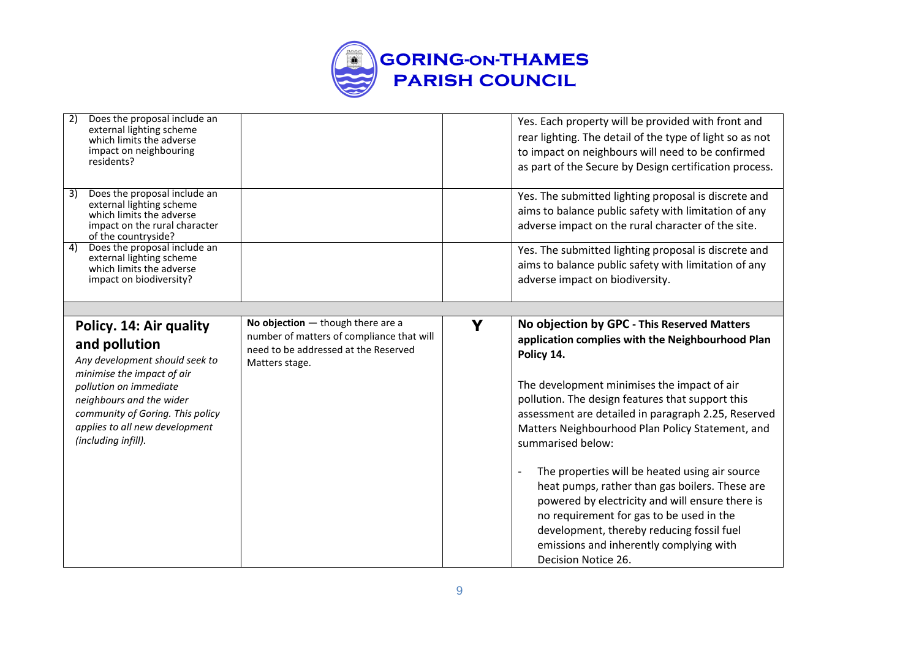

| 2) | Does the proposal include an<br>external lighting scheme<br>which limits the adverse<br>impact on neighbouring<br>residents?                                                                                                                                |                                                                                                                                            |   | Yes. Each property will be provided with front and<br>rear lighting. The detail of the type of light so as not<br>to impact on neighbours will need to be confirmed<br>as part of the Secure by Design certification process.                                                                                                                                                                                                                                          |
|----|-------------------------------------------------------------------------------------------------------------------------------------------------------------------------------------------------------------------------------------------------------------|--------------------------------------------------------------------------------------------------------------------------------------------|---|------------------------------------------------------------------------------------------------------------------------------------------------------------------------------------------------------------------------------------------------------------------------------------------------------------------------------------------------------------------------------------------------------------------------------------------------------------------------|
| 3) | Does the proposal include an<br>external lighting scheme<br>which limits the adverse<br>impact on the rural character<br>of the countryside?                                                                                                                |                                                                                                                                            |   | Yes. The submitted lighting proposal is discrete and<br>aims to balance public safety with limitation of any<br>adverse impact on the rural character of the site.                                                                                                                                                                                                                                                                                                     |
| 4) | Does the proposal include an<br>external lighting scheme<br>which limits the adverse<br>impact on biodiversity?                                                                                                                                             |                                                                                                                                            |   | Yes. The submitted lighting proposal is discrete and<br>aims to balance public safety with limitation of any<br>adverse impact on biodiversity.                                                                                                                                                                                                                                                                                                                        |
|    |                                                                                                                                                                                                                                                             |                                                                                                                                            |   |                                                                                                                                                                                                                                                                                                                                                                                                                                                                        |
|    | Policy. 14: Air quality<br>and pollution<br>Any development should seek to<br>minimise the impact of air<br>pollution on immediate<br>neighbours and the wider<br>community of Goring. This policy<br>applies to all new development<br>(including infill). | No objection $-$ though there are a<br>number of matters of compliance that will<br>need to be addressed at the Reserved<br>Matters stage. | Y | No objection by GPC - This Reserved Matters<br>application complies with the Neighbourhood Plan<br>Policy 14.<br>The development minimises the impact of air<br>pollution. The design features that support this<br>assessment are detailed in paragraph 2.25, Reserved<br>Matters Neighbourhood Plan Policy Statement, and<br>summarised below:<br>The properties will be heated using air source<br>$\overline{a}$<br>heat pumps, rather than gas boilers. These are |
|    |                                                                                                                                                                                                                                                             |                                                                                                                                            |   | powered by electricity and will ensure there is<br>no requirement for gas to be used in the<br>development, thereby reducing fossil fuel<br>emissions and inherently complying with<br>Decision Notice 26.                                                                                                                                                                                                                                                             |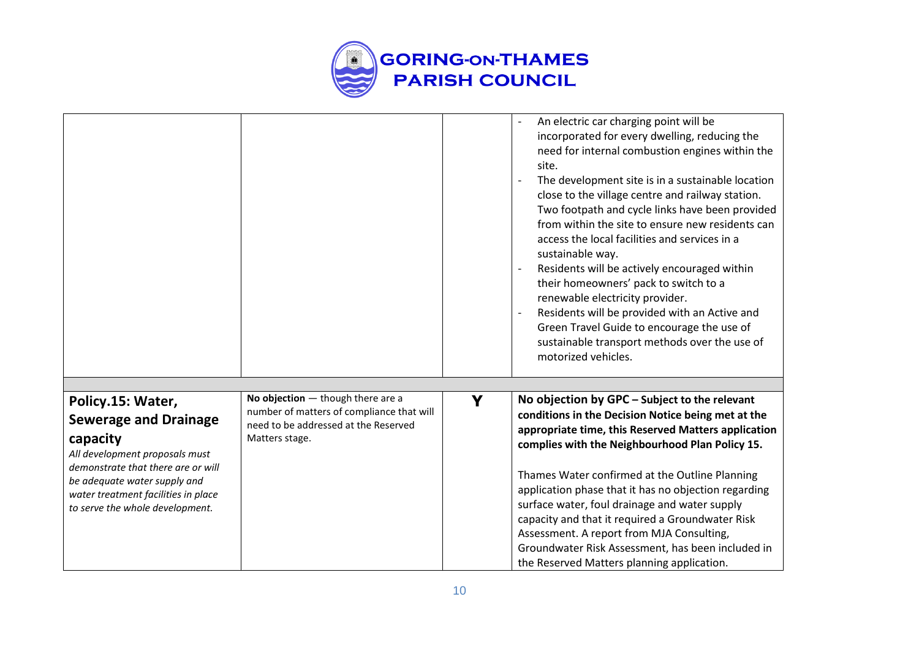

|                                                                                                                                                                                |                                                                                                                                            |   | An electric car charging point will be<br>incorporated for every dwelling, reducing the<br>need for internal combustion engines within the<br>site.<br>The development site is in a sustainable location<br>close to the village centre and railway station.<br>Two footpath and cycle links have been provided<br>from within the site to ensure new residents can<br>access the local facilities and services in a<br>sustainable way.<br>Residents will be actively encouraged within<br>their homeowners' pack to switch to a<br>renewable electricity provider.<br>Residents will be provided with an Active and<br>Green Travel Guide to encourage the use of<br>sustainable transport methods over the use of<br>motorized vehicles. |
|--------------------------------------------------------------------------------------------------------------------------------------------------------------------------------|--------------------------------------------------------------------------------------------------------------------------------------------|---|---------------------------------------------------------------------------------------------------------------------------------------------------------------------------------------------------------------------------------------------------------------------------------------------------------------------------------------------------------------------------------------------------------------------------------------------------------------------------------------------------------------------------------------------------------------------------------------------------------------------------------------------------------------------------------------------------------------------------------------------|
| Policy.15: Water,<br><b>Sewerage and Drainage</b><br>capacity                                                                                                                  | No objection $-$ though there are a<br>number of matters of compliance that will<br>need to be addressed at the Reserved<br>Matters stage. | Y | No objection by GPC - Subject to the relevant<br>conditions in the Decision Notice being met at the<br>appropriate time, this Reserved Matters application<br>complies with the Neighbourhood Plan Policy 15.                                                                                                                                                                                                                                                                                                                                                                                                                                                                                                                               |
| All development proposals must<br>demonstrate that there are or will<br>be adequate water supply and<br>water treatment facilities in place<br>to serve the whole development. |                                                                                                                                            |   | Thames Water confirmed at the Outline Planning<br>application phase that it has no objection regarding<br>surface water, foul drainage and water supply<br>capacity and that it required a Groundwater Risk<br>Assessment. A report from MJA Consulting,<br>Groundwater Risk Assessment, has been included in<br>the Reserved Matters planning application.                                                                                                                                                                                                                                                                                                                                                                                 |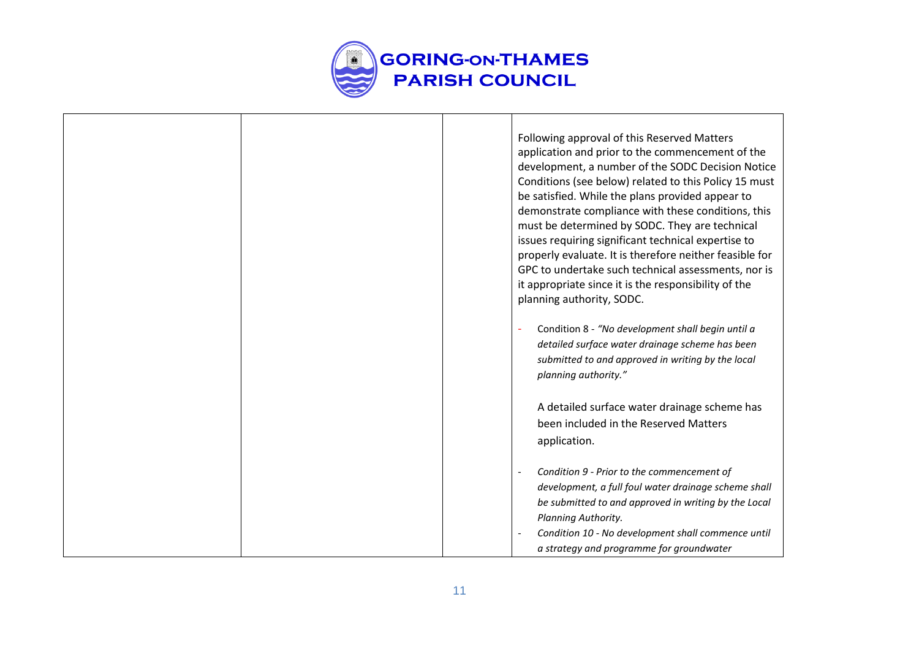

|  | Following approval of this Reserved Matters<br>application and prior to the commencement of the |
|--|-------------------------------------------------------------------------------------------------|
|  | development, a number of the SODC Decision Notice                                               |
|  | Conditions (see below) related to this Policy 15 must                                           |
|  | be satisfied. While the plans provided appear to                                                |
|  | demonstrate compliance with these conditions, this                                              |
|  | must be determined by SODC. They are technical                                                  |
|  | issues requiring significant technical expertise to                                             |
|  | properly evaluate. It is therefore neither feasible for                                         |
|  | GPC to undertake such technical assessments, nor is                                             |
|  | it appropriate since it is the responsibility of the                                            |
|  | planning authority, SODC.                                                                       |
|  | Condition 8 - "No development shall begin until a                                               |
|  | detailed surface water drainage scheme has been                                                 |
|  | submitted to and approved in writing by the local                                               |
|  | planning authority."                                                                            |
|  |                                                                                                 |
|  | A detailed surface water drainage scheme has                                                    |
|  | been included in the Reserved Matters                                                           |
|  | application.                                                                                    |
|  |                                                                                                 |
|  | Condition 9 - Prior to the commencement of                                                      |
|  | development, a full foul water drainage scheme shall                                            |
|  | be submitted to and approved in writing by the Local                                            |
|  | Planning Authority.                                                                             |
|  | Condition 10 - No development shall commence until                                              |
|  | a strategy and programme for groundwater                                                        |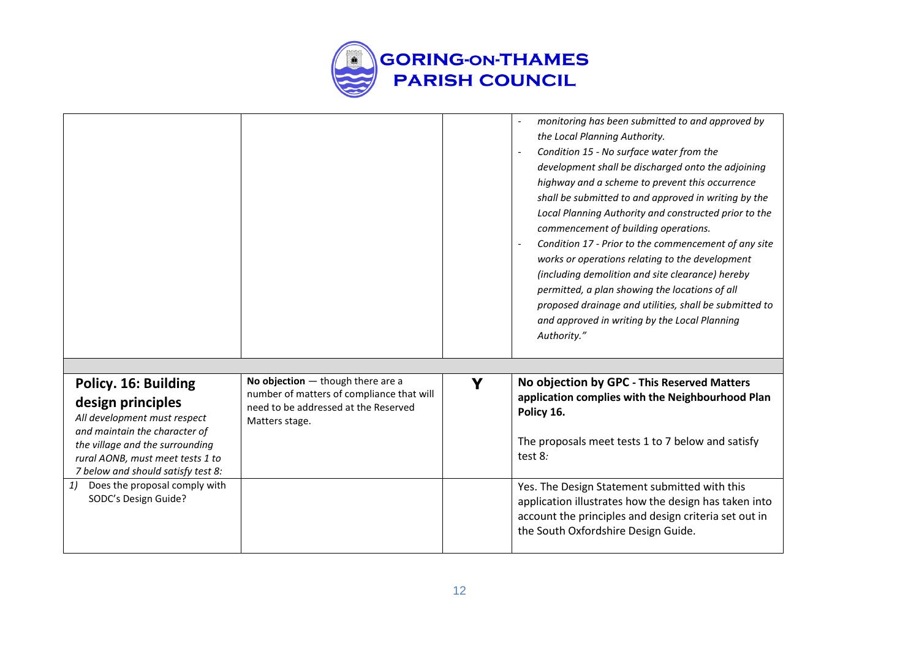

|                                                                                                                                                                                                                         |                                                                                                                                            |   | monitoring has been submitted to and approved by<br>the Local Planning Authority.<br>Condition 15 - No surface water from the<br>development shall be discharged onto the adjoining<br>highway and a scheme to prevent this occurrence<br>shall be submitted to and approved in writing by the<br>Local Planning Authority and constructed prior to the<br>commencement of building operations.<br>Condition 17 - Prior to the commencement of any site<br>works or operations relating to the development<br>(including demolition and site clearance) hereby<br>permitted, a plan showing the locations of all<br>proposed drainage and utilities, shall be submitted to<br>and approved in writing by the Local Planning<br>Authority." |
|-------------------------------------------------------------------------------------------------------------------------------------------------------------------------------------------------------------------------|--------------------------------------------------------------------------------------------------------------------------------------------|---|--------------------------------------------------------------------------------------------------------------------------------------------------------------------------------------------------------------------------------------------------------------------------------------------------------------------------------------------------------------------------------------------------------------------------------------------------------------------------------------------------------------------------------------------------------------------------------------------------------------------------------------------------------------------------------------------------------------------------------------------|
| Policy. 16: Building<br>design principles<br>All development must respect<br>and maintain the character of<br>the village and the surrounding<br>rural AONB, must meet tests 1 to<br>7 below and should satisfy test 8: | No objection $-$ though there are a<br>number of matters of compliance that will<br>need to be addressed at the Reserved<br>Matters stage. | Y | No objection by GPC - This Reserved Matters<br>application complies with the Neighbourhood Plan<br>Policy 16.<br>The proposals meet tests 1 to 7 below and satisfy<br>test 8:                                                                                                                                                                                                                                                                                                                                                                                                                                                                                                                                                              |
| Does the proposal comply with<br>1)<br>SODC's Design Guide?                                                                                                                                                             |                                                                                                                                            |   | Yes. The Design Statement submitted with this<br>application illustrates how the design has taken into<br>account the principles and design criteria set out in<br>the South Oxfordshire Design Guide.                                                                                                                                                                                                                                                                                                                                                                                                                                                                                                                                     |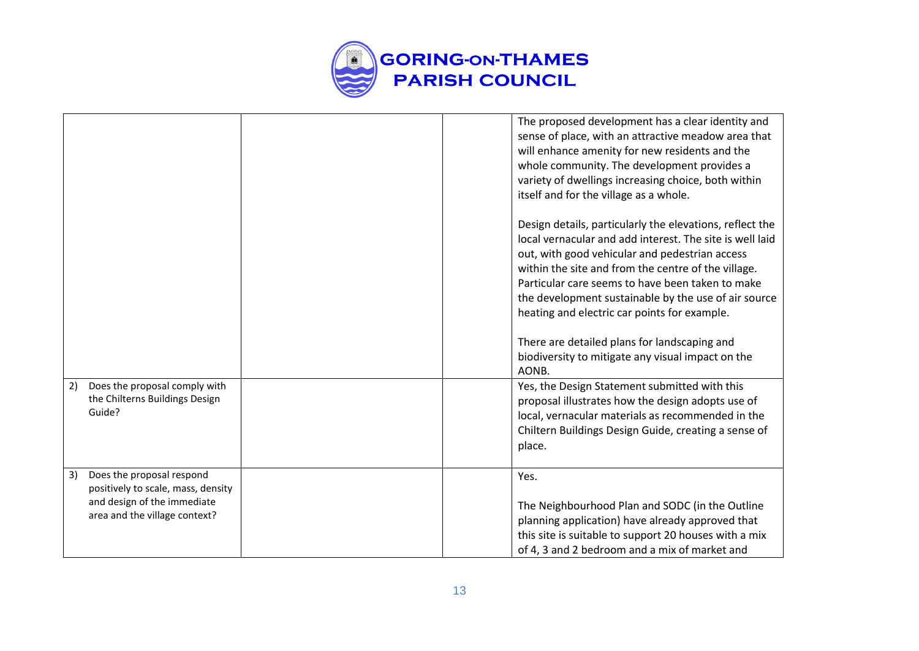

|                                                                                                                                       | The proposed development has a clear identity and<br>sense of place, with an attractive meadow area that<br>will enhance amenity for new residents and the<br>whole community. The development provides a<br>variety of dwellings increasing choice, both within<br>itself and for the village as a whole.                                                                                |
|---------------------------------------------------------------------------------------------------------------------------------------|-------------------------------------------------------------------------------------------------------------------------------------------------------------------------------------------------------------------------------------------------------------------------------------------------------------------------------------------------------------------------------------------|
|                                                                                                                                       | Design details, particularly the elevations, reflect the<br>local vernacular and add interest. The site is well laid<br>out, with good vehicular and pedestrian access<br>within the site and from the centre of the village.<br>Particular care seems to have been taken to make<br>the development sustainable by the use of air source<br>heating and electric car points for example. |
|                                                                                                                                       | There are detailed plans for landscaping and<br>biodiversity to mitigate any visual impact on the<br>AONB.                                                                                                                                                                                                                                                                                |
| Does the proposal comply with<br>2)<br>the Chilterns Buildings Design<br>Guide?                                                       | Yes, the Design Statement submitted with this<br>proposal illustrates how the design adopts use of<br>local, vernacular materials as recommended in the<br>Chiltern Buildings Design Guide, creating a sense of<br>place.                                                                                                                                                                 |
| Does the proposal respond<br>3)<br>positively to scale, mass, density<br>and design of the immediate<br>area and the village context? | Yes.<br>The Neighbourhood Plan and SODC (in the Outline<br>planning application) have already approved that<br>this site is suitable to support 20 houses with a mix<br>of 4, 3 and 2 bedroom and a mix of market and                                                                                                                                                                     |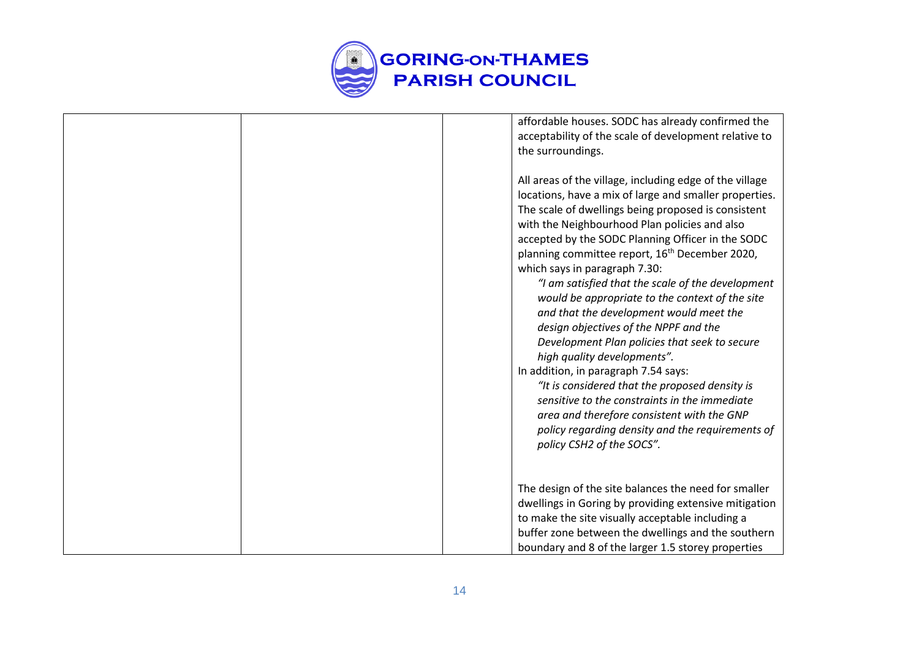

| affordable houses. SODC has already confirmed the<br>acceptability of the scale of development relative to<br>the surroundings.                                                                                                                                                                                                                                                                                                                                                                                                                                                                                                                                                                                                                                                                                                                                                                                                     |
|-------------------------------------------------------------------------------------------------------------------------------------------------------------------------------------------------------------------------------------------------------------------------------------------------------------------------------------------------------------------------------------------------------------------------------------------------------------------------------------------------------------------------------------------------------------------------------------------------------------------------------------------------------------------------------------------------------------------------------------------------------------------------------------------------------------------------------------------------------------------------------------------------------------------------------------|
| All areas of the village, including edge of the village<br>locations, have a mix of large and smaller properties.<br>The scale of dwellings being proposed is consistent<br>with the Neighbourhood Plan policies and also<br>accepted by the SODC Planning Officer in the SODC<br>planning committee report, 16 <sup>th</sup> December 2020,<br>which says in paragraph 7.30:<br>"I am satisfied that the scale of the development<br>would be appropriate to the context of the site<br>and that the development would meet the<br>design objectives of the NPPF and the<br>Development Plan policies that seek to secure<br>high quality developments".<br>In addition, in paragraph 7.54 says:<br>"It is considered that the proposed density is<br>sensitive to the constraints in the immediate<br>area and therefore consistent with the GNP<br>policy regarding density and the requirements of<br>policy CSH2 of the SOCS". |
| The design of the site balances the need for smaller<br>dwellings in Goring by providing extensive mitigation<br>to make the site visually acceptable including a<br>buffer zone between the dwellings and the southern<br>boundary and 8 of the larger 1.5 storey properties                                                                                                                                                                                                                                                                                                                                                                                                                                                                                                                                                                                                                                                       |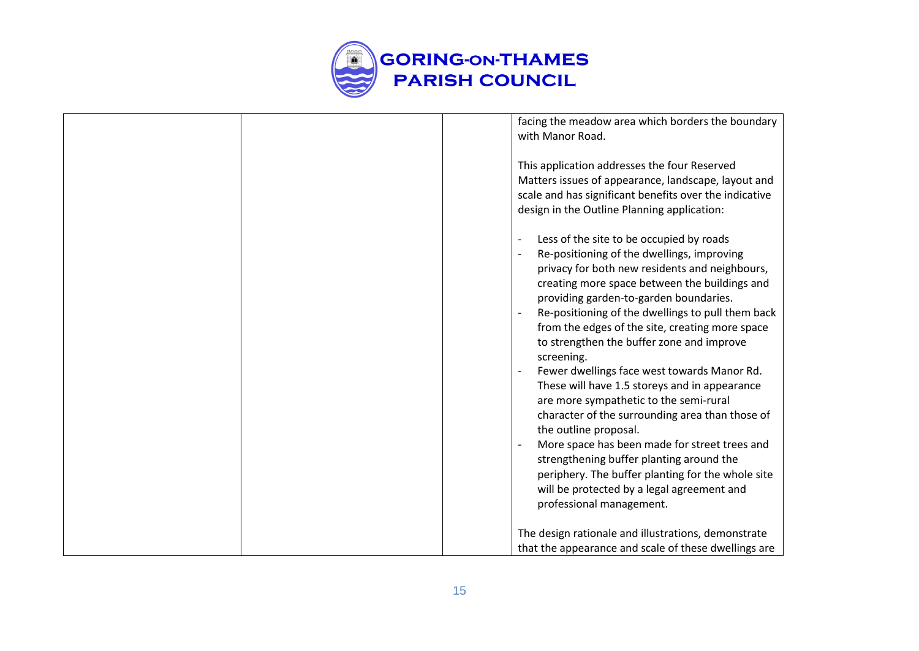

| facing the meadow area which borders the boundary<br>with Manor Road.                                                                                                                                                                                                                                                                                                                                                                                                                                                                                                                                                                                                                                                                                                                                                                                                                                                                                          |
|----------------------------------------------------------------------------------------------------------------------------------------------------------------------------------------------------------------------------------------------------------------------------------------------------------------------------------------------------------------------------------------------------------------------------------------------------------------------------------------------------------------------------------------------------------------------------------------------------------------------------------------------------------------------------------------------------------------------------------------------------------------------------------------------------------------------------------------------------------------------------------------------------------------------------------------------------------------|
| This application addresses the four Reserved<br>Matters issues of appearance, landscape, layout and<br>scale and has significant benefits over the indicative<br>design in the Outline Planning application:                                                                                                                                                                                                                                                                                                                                                                                                                                                                                                                                                                                                                                                                                                                                                   |
| Less of the site to be occupied by roads<br>$\overline{a}$<br>Re-positioning of the dwellings, improving<br>$\overline{\phantom{a}}$<br>privacy for both new residents and neighbours,<br>creating more space between the buildings and<br>providing garden-to-garden boundaries.<br>Re-positioning of the dwellings to pull them back<br>$\overline{\phantom{a}}$<br>from the edges of the site, creating more space<br>to strengthen the buffer zone and improve<br>screening.<br>Fewer dwellings face west towards Manor Rd.<br>$\overline{\phantom{a}}$<br>These will have 1.5 storeys and in appearance<br>are more sympathetic to the semi-rural<br>character of the surrounding area than those of<br>the outline proposal.<br>More space has been made for street trees and<br>strengthening buffer planting around the<br>periphery. The buffer planting for the whole site<br>will be protected by a legal agreement and<br>professional management. |
| The design rationale and illustrations, demonstrate<br>that the appearance and scale of these dwellings are                                                                                                                                                                                                                                                                                                                                                                                                                                                                                                                                                                                                                                                                                                                                                                                                                                                    |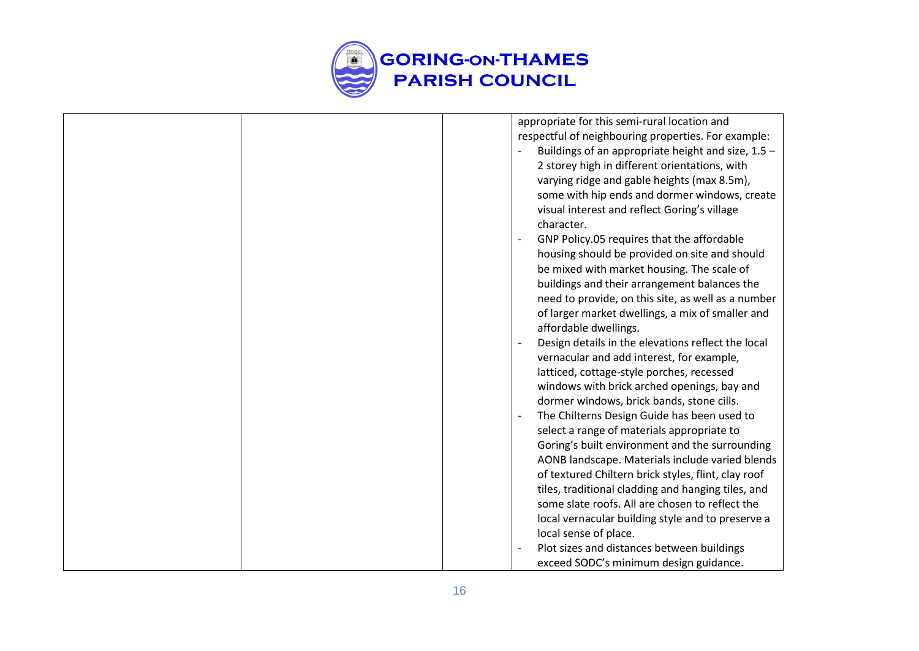

| appropriate for this semi-rural location and                            |
|-------------------------------------------------------------------------|
| respectful of neighbouring properties. For example:                     |
| Buildings of an appropriate height and size, 1.5 -                      |
| 2 storey high in different orientations, with                           |
| varying ridge and gable heights (max 8.5m),                             |
| some with hip ends and dormer windows, create                           |
| visual interest and reflect Goring's village                            |
| character.                                                              |
| GNP Policy.05 requires that the affordable                              |
| housing should be provided on site and should                           |
| be mixed with market housing. The scale of                              |
| buildings and their arrangement balances the                            |
| need to provide, on this site, as well as a number                      |
| of larger market dwellings, a mix of smaller and                        |
| affordable dwellings.                                                   |
| Design details in the elevations reflect the local<br>$\overline{a}$    |
| vernacular and add interest, for example,                               |
| latticed, cottage-style porches, recessed                               |
| windows with brick arched openings, bay and                             |
| dormer windows, brick bands, stone cills.                               |
| The Chilterns Design Guide has been used to<br>$\overline{\phantom{a}}$ |
| select a range of materials appropriate to                              |
| Goring's built environment and the surrounding                          |
| AONB landscape. Materials include varied blends                         |
| of textured Chiltern brick styles, flint, clay roof                     |
| tiles, traditional cladding and hanging tiles, and                      |
| some slate roofs. All are chosen to reflect the                         |
| local vernacular building style and to preserve a                       |
| local sense of place.                                                   |
| Plot sizes and distances between buildings                              |
| exceed SODC's minimum design guidance.                                  |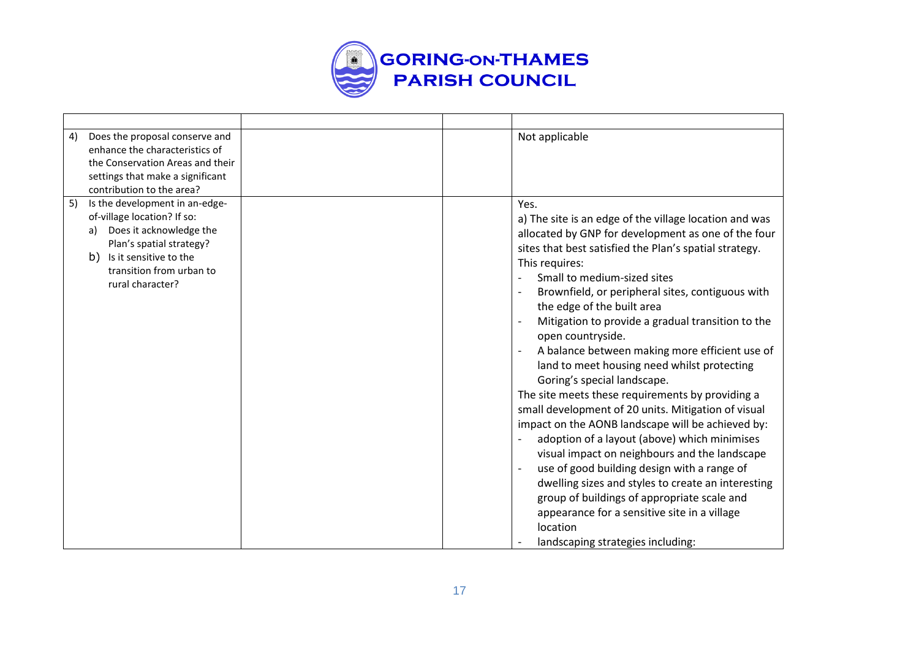

| Does the proposal conserve and<br>4)<br>enhance the characteristics of<br>the Conservation Areas and their<br>settings that make a significant<br>contribution to the area?                                      | Not applicable                                                                                                                                                                                                                                                                                                                                                                                                                                                                                                                                                                                                                                                                                                                                                                                                                                                                                                                                                                                                                                     |
|------------------------------------------------------------------------------------------------------------------------------------------------------------------------------------------------------------------|----------------------------------------------------------------------------------------------------------------------------------------------------------------------------------------------------------------------------------------------------------------------------------------------------------------------------------------------------------------------------------------------------------------------------------------------------------------------------------------------------------------------------------------------------------------------------------------------------------------------------------------------------------------------------------------------------------------------------------------------------------------------------------------------------------------------------------------------------------------------------------------------------------------------------------------------------------------------------------------------------------------------------------------------------|
| Is the development in an-edge-<br>5)<br>of-village location? If so:<br>Does it acknowledge the<br>a)<br>Plan's spatial strategy?<br>Is it sensitive to the<br>b)<br>transition from urban to<br>rural character? | Yes.<br>a) The site is an edge of the village location and was<br>allocated by GNP for development as one of the four<br>sites that best satisfied the Plan's spatial strategy.<br>This requires:<br>Small to medium-sized sites<br>Brownfield, or peripheral sites, contiguous with<br>the edge of the built area<br>Mitigation to provide a gradual transition to the<br>open countryside.<br>A balance between making more efficient use of<br>land to meet housing need whilst protecting<br>Goring's special landscape.<br>The site meets these requirements by providing a<br>small development of 20 units. Mitigation of visual<br>impact on the AONB landscape will be achieved by:<br>adoption of a layout (above) which minimises<br>visual impact on neighbours and the landscape<br>use of good building design with a range of<br>dwelling sizes and styles to create an interesting<br>group of buildings of appropriate scale and<br>appearance for a sensitive site in a village<br>location<br>landscaping strategies including: |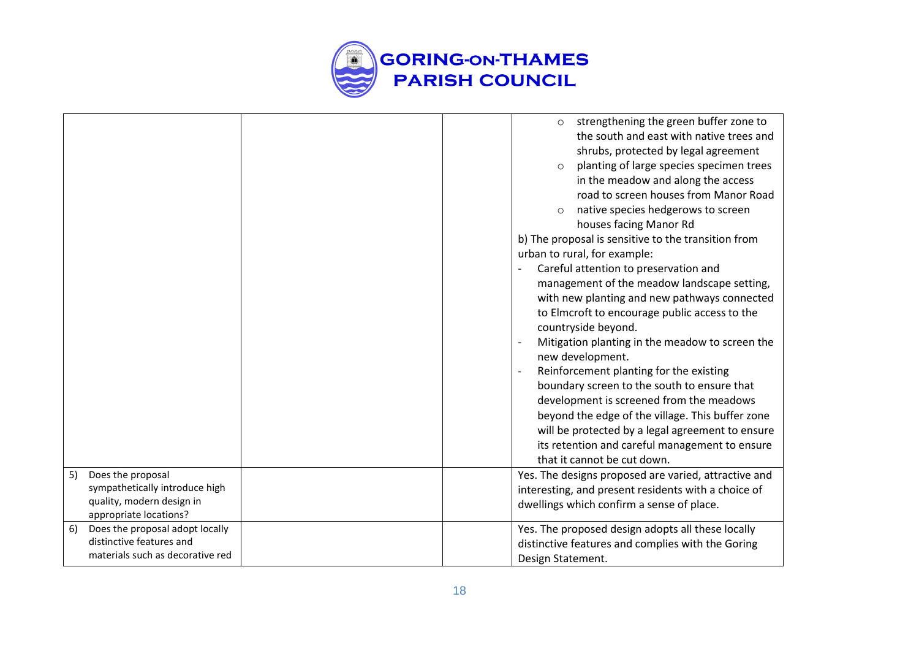

| 5) | Does the proposal<br>sympathetically introduce high<br>quality, modern design in |  | strengthening the green buffer zone to<br>$\circ$<br>the south and east with native trees and<br>shrubs, protected by legal agreement<br>planting of large species specimen trees<br>$\circ$<br>in the meadow and along the access<br>road to screen houses from Manor Road<br>native species hedgerows to screen<br>$\circ$<br>houses facing Manor Rd<br>b) The proposal is sensitive to the transition from<br>urban to rural, for example:<br>Careful attention to preservation and<br>management of the meadow landscape setting,<br>with new planting and new pathways connected<br>to Elmcroft to encourage public access to the<br>countryside beyond.<br>Mitigation planting in the meadow to screen the<br>new development.<br>Reinforcement planting for the existing<br>boundary screen to the south to ensure that<br>development is screened from the meadows<br>beyond the edge of the village. This buffer zone<br>will be protected by a legal agreement to ensure<br>its retention and careful management to ensure<br>that it cannot be cut down.<br>Yes. The designs proposed are varied, attractive and<br>interesting, and present residents with a choice of<br>dwellings which confirm a sense of place. |
|----|----------------------------------------------------------------------------------|--|---------------------------------------------------------------------------------------------------------------------------------------------------------------------------------------------------------------------------------------------------------------------------------------------------------------------------------------------------------------------------------------------------------------------------------------------------------------------------------------------------------------------------------------------------------------------------------------------------------------------------------------------------------------------------------------------------------------------------------------------------------------------------------------------------------------------------------------------------------------------------------------------------------------------------------------------------------------------------------------------------------------------------------------------------------------------------------------------------------------------------------------------------------------------------------------------------------------------------------|
|    |                                                                                  |  |                                                                                                                                                                                                                                                                                                                                                                                                                                                                                                                                                                                                                                                                                                                                                                                                                                                                                                                                                                                                                                                                                                                                                                                                                                 |
|    | appropriate locations?                                                           |  |                                                                                                                                                                                                                                                                                                                                                                                                                                                                                                                                                                                                                                                                                                                                                                                                                                                                                                                                                                                                                                                                                                                                                                                                                                 |
| 6) | Does the proposal adopt locally                                                  |  | Yes. The proposed design adopts all these locally                                                                                                                                                                                                                                                                                                                                                                                                                                                                                                                                                                                                                                                                                                                                                                                                                                                                                                                                                                                                                                                                                                                                                                               |
|    | distinctive features and                                                         |  | distinctive features and complies with the Goring                                                                                                                                                                                                                                                                                                                                                                                                                                                                                                                                                                                                                                                                                                                                                                                                                                                                                                                                                                                                                                                                                                                                                                               |
|    | materials such as decorative red                                                 |  | Design Statement.                                                                                                                                                                                                                                                                                                                                                                                                                                                                                                                                                                                                                                                                                                                                                                                                                                                                                                                                                                                                                                                                                                                                                                                                               |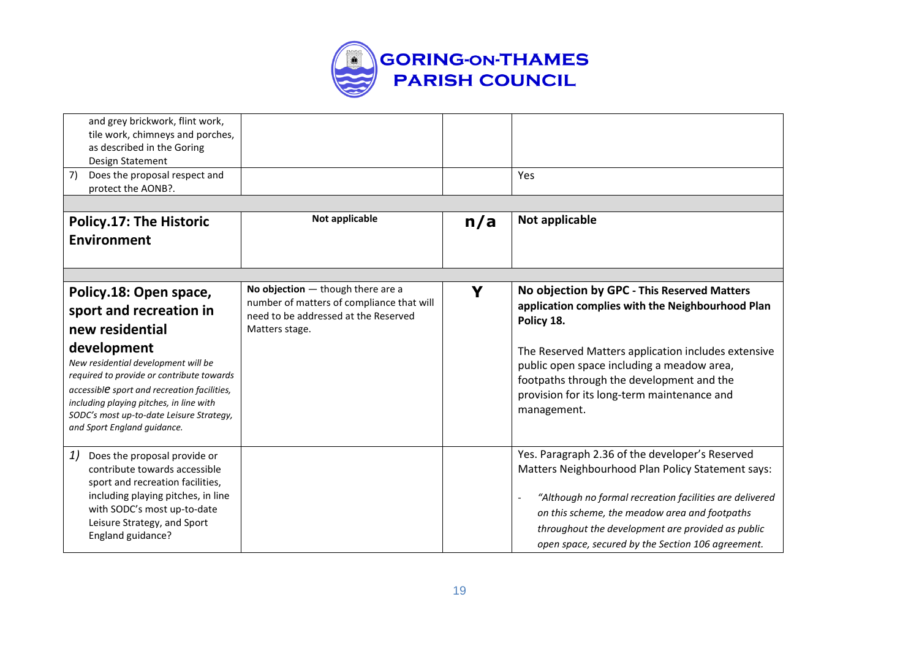

| and grey brickwork, flint work,<br>tile work, chimneys and porches,<br>as described in the Goring<br>Design Statement<br>7)<br>Does the proposal respect and |                                                                                  |     | Yes                                                                                                    |
|--------------------------------------------------------------------------------------------------------------------------------------------------------------|----------------------------------------------------------------------------------|-----|--------------------------------------------------------------------------------------------------------|
| protect the AONB?.                                                                                                                                           |                                                                                  |     |                                                                                                        |
|                                                                                                                                                              |                                                                                  |     |                                                                                                        |
| <b>Policy.17: The Historic</b>                                                                                                                               | Not applicable                                                                   | n/a | Not applicable                                                                                         |
| <b>Environment</b>                                                                                                                                           |                                                                                  |     |                                                                                                        |
|                                                                                                                                                              |                                                                                  |     |                                                                                                        |
|                                                                                                                                                              |                                                                                  |     |                                                                                                        |
| Policy.18: Open space,                                                                                                                                       | No objection $-$ though there are a<br>number of matters of compliance that will | Y   | No objection by GPC - This Reserved Matters                                                            |
| sport and recreation in                                                                                                                                      | need to be addressed at the Reserved                                             |     | application complies with the Neighbourhood Plan<br>Policy 18.                                         |
| new residential                                                                                                                                              | Matters stage.                                                                   |     |                                                                                                        |
| development                                                                                                                                                  |                                                                                  |     | The Reserved Matters application includes extensive                                                    |
| New residential development will be<br>required to provide or contribute towards                                                                             |                                                                                  |     | public open space including a meadow area,                                                             |
| accessible sport and recreation facilities,                                                                                                                  |                                                                                  |     | footpaths through the development and the                                                              |
| including playing pitches, in line with                                                                                                                      |                                                                                  |     | provision for its long-term maintenance and                                                            |
| SODC's most up-to-date Leisure Strategy,                                                                                                                     |                                                                                  |     | management.                                                                                            |
| and Sport England guidance.                                                                                                                                  |                                                                                  |     |                                                                                                        |
| 1)<br>Does the proposal provide or                                                                                                                           |                                                                                  |     | Yes. Paragraph 2.36 of the developer's Reserved                                                        |
| contribute towards accessible                                                                                                                                |                                                                                  |     | Matters Neighbourhood Plan Policy Statement says:                                                      |
| sport and recreation facilities,                                                                                                                             |                                                                                  |     |                                                                                                        |
| including playing pitches, in line<br>with SODC's most up-to-date                                                                                            |                                                                                  |     | "Although no formal recreation facilities are delivered                                                |
| Leisure Strategy, and Sport                                                                                                                                  |                                                                                  |     | on this scheme, the meadow area and footpaths                                                          |
| England guidance?                                                                                                                                            |                                                                                  |     | throughout the development are provided as public<br>open space, secured by the Section 106 agreement. |
|                                                                                                                                                              |                                                                                  |     |                                                                                                        |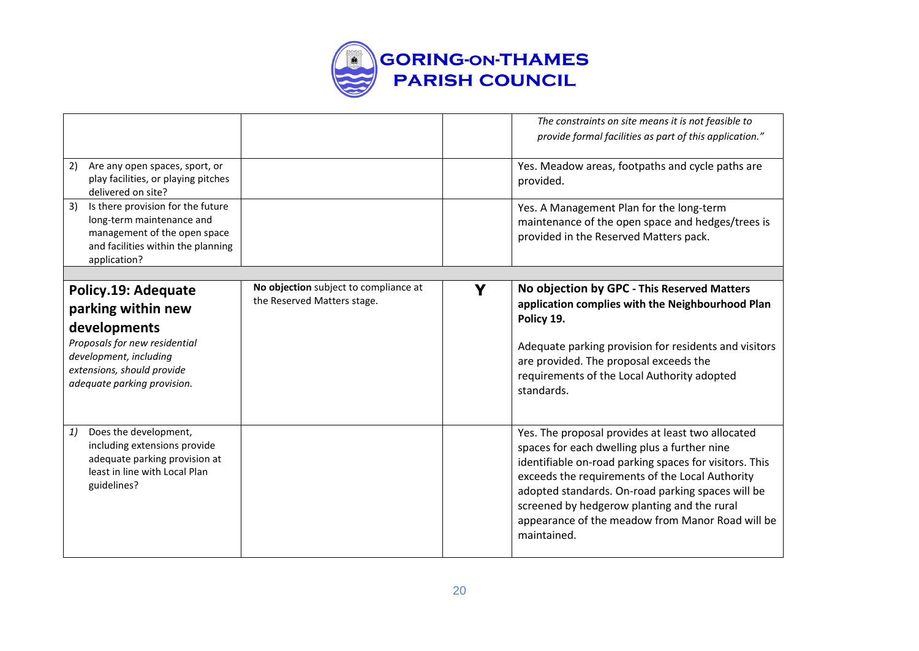

|                                                                                                                                                                                   |                                                                      |   | The constraints on site means it is not feasible to<br>provide formal facilities as part of this application."                                                                                                                                                                                                                                                                        |
|-----------------------------------------------------------------------------------------------------------------------------------------------------------------------------------|----------------------------------------------------------------------|---|---------------------------------------------------------------------------------------------------------------------------------------------------------------------------------------------------------------------------------------------------------------------------------------------------------------------------------------------------------------------------------------|
| Are any open spaces, sport, or<br>2)<br>play facilities, or playing pitches<br>delivered on site?                                                                                 |                                                                      |   | Yes. Meadow areas, footpaths and cycle paths are<br>provided.                                                                                                                                                                                                                                                                                                                         |
| 3)<br>Is there provision for the future<br>long-term maintenance and<br>management of the open space<br>and facilities within the planning<br>application?                        |                                                                      |   | Yes. A Management Plan for the long-term<br>maintenance of the open space and hedges/trees is<br>provided in the Reserved Matters pack.                                                                                                                                                                                                                                               |
|                                                                                                                                                                                   |                                                                      |   |                                                                                                                                                                                                                                                                                                                                                                                       |
| Policy.19: Adequate<br>parking within new<br>developments<br>Proposals for new residential<br>development, including<br>extensions, should provide<br>adequate parking provision. | No objection subject to compliance at<br>the Reserved Matters stage. | Y | No objection by GPC - This Reserved Matters<br>application complies with the Neighbourhood Plan<br>Policy 19.<br>Adequate parking provision for residents and visitors<br>are provided. The proposal exceeds the<br>requirements of the Local Authority adopted<br>standards.                                                                                                         |
| Does the development,<br>1)<br>including extensions provide<br>adequate parking provision at<br>least in line with Local Plan<br>guidelines?                                      |                                                                      |   | Yes. The proposal provides at least two allocated<br>spaces for each dwelling plus a further nine<br>identifiable on-road parking spaces for visitors. This<br>exceeds the requirements of the Local Authority<br>adopted standards. On-road parking spaces will be<br>screened by hedgerow planting and the rural<br>appearance of the meadow from Manor Road will be<br>maintained. |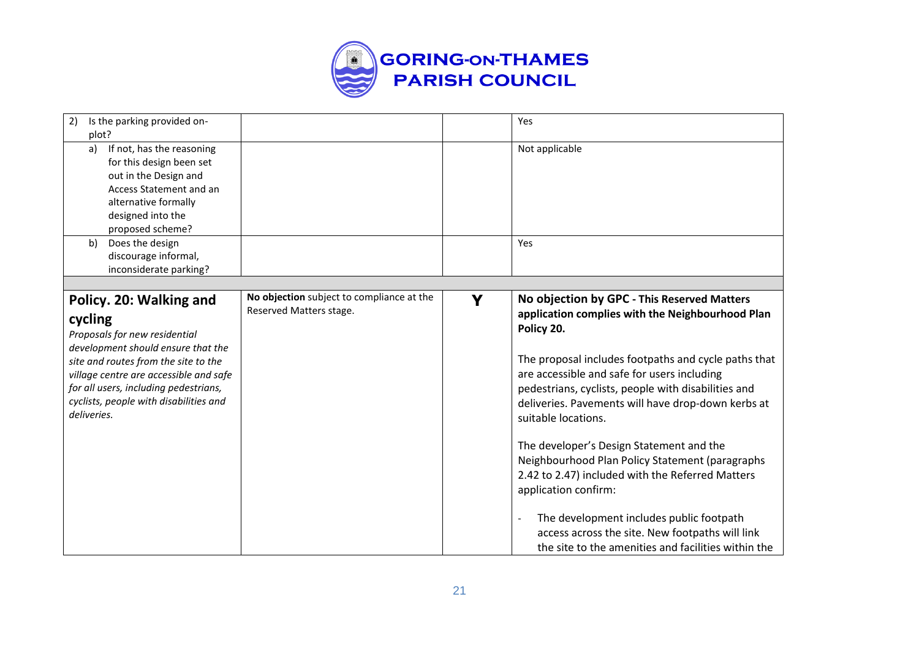

| Is the parking provided on-<br>2)<br>plot?                                                                                                                                                                                                                                                    |                                                                      |   | Yes                                                                                                                                                                                                                                                                                                                                                                                                                                                                                                                                                                                                                                                                                       |
|-----------------------------------------------------------------------------------------------------------------------------------------------------------------------------------------------------------------------------------------------------------------------------------------------|----------------------------------------------------------------------|---|-------------------------------------------------------------------------------------------------------------------------------------------------------------------------------------------------------------------------------------------------------------------------------------------------------------------------------------------------------------------------------------------------------------------------------------------------------------------------------------------------------------------------------------------------------------------------------------------------------------------------------------------------------------------------------------------|
| If not, has the reasoning<br>a)<br>for this design been set<br>out in the Design and<br>Access Statement and an<br>alternative formally<br>designed into the<br>proposed scheme?                                                                                                              |                                                                      |   | Not applicable                                                                                                                                                                                                                                                                                                                                                                                                                                                                                                                                                                                                                                                                            |
| Does the design<br>b)<br>discourage informal,<br>inconsiderate parking?                                                                                                                                                                                                                       |                                                                      |   | Yes                                                                                                                                                                                                                                                                                                                                                                                                                                                                                                                                                                                                                                                                                       |
|                                                                                                                                                                                                                                                                                               |                                                                      |   |                                                                                                                                                                                                                                                                                                                                                                                                                                                                                                                                                                                                                                                                                           |
| Policy. 20: Walking and<br>cycling<br>Proposals for new residential<br>development should ensure that the<br>site and routes from the site to the<br>village centre are accessible and safe<br>for all users, including pedestrians,<br>cyclists, people with disabilities and<br>deliveries. | No objection subject to compliance at the<br>Reserved Matters stage. | Y | No objection by GPC - This Reserved Matters<br>application complies with the Neighbourhood Plan<br>Policy 20.<br>The proposal includes footpaths and cycle paths that<br>are accessible and safe for users including<br>pedestrians, cyclists, people with disabilities and<br>deliveries. Pavements will have drop-down kerbs at<br>suitable locations.<br>The developer's Design Statement and the<br>Neighbourhood Plan Policy Statement (paragraphs<br>2.42 to 2.47) included with the Referred Matters<br>application confirm:<br>The development includes public footpath<br>access across the site. New footpaths will link<br>the site to the amenities and facilities within the |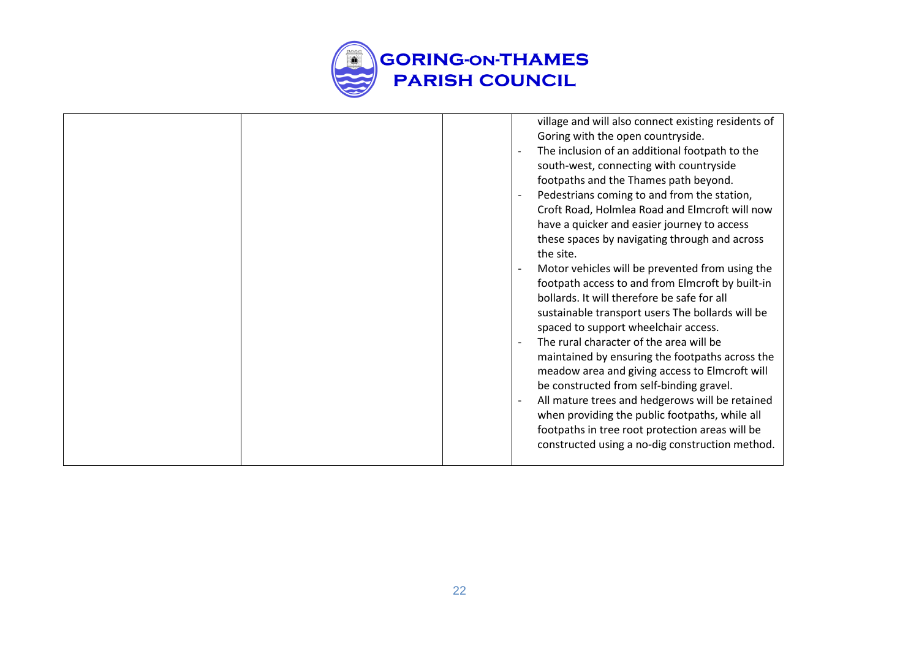

|  | village and will also connect existing residents of<br>Goring with the open countryside.<br>The inclusion of an additional footpath to the<br>south-west, connecting with countryside<br>footpaths and the Thames path beyond.<br>Pedestrians coming to and from the station,<br>Croft Road, Holmlea Road and Elmcroft will now<br>have a quicker and easier journey to access<br>these spaces by navigating through and across<br>the site.<br>Motor vehicles will be prevented from using the<br>footpath access to and from Elmcroft by built-in<br>bollards. It will therefore be safe for all<br>sustainable transport users The bollards will be<br>spaced to support wheelchair access.<br>The rural character of the area will be<br>maintained by ensuring the footpaths across the<br>meadow area and giving access to Elmcroft will<br>be constructed from self-binding gravel.<br>All mature trees and hedgerows will be retained<br>when providing the public footpaths, while all<br>footpaths in tree root protection areas will be |
|--|----------------------------------------------------------------------------------------------------------------------------------------------------------------------------------------------------------------------------------------------------------------------------------------------------------------------------------------------------------------------------------------------------------------------------------------------------------------------------------------------------------------------------------------------------------------------------------------------------------------------------------------------------------------------------------------------------------------------------------------------------------------------------------------------------------------------------------------------------------------------------------------------------------------------------------------------------------------------------------------------------------------------------------------------------|
|  | constructed using a no-dig construction method.                                                                                                                                                                                                                                                                                                                                                                                                                                                                                                                                                                                                                                                                                                                                                                                                                                                                                                                                                                                                    |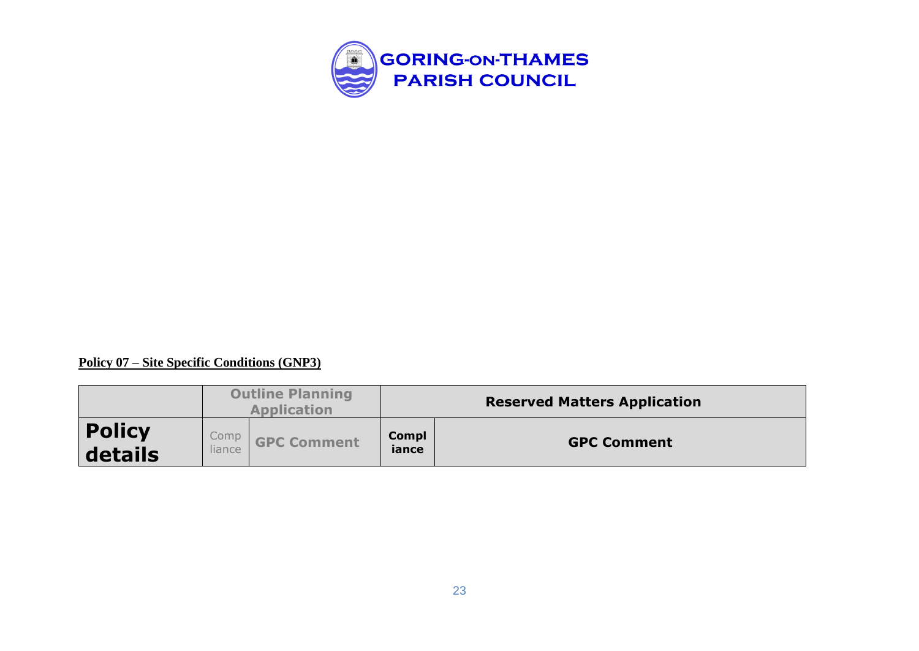

#### **Policy 07 – Site Specific Conditions (GNP3)**

|                          |        | <b>Outline Planning</b><br><b>Application</b> |                       | <b>Reserved Matters Application</b> |
|--------------------------|--------|-----------------------------------------------|-----------------------|-------------------------------------|
| <b>Policy</b><br>details | liance | Comp <b>GPC Comment</b>                       | <b>Compl</b><br>iance | <b>GPC Comment</b>                  |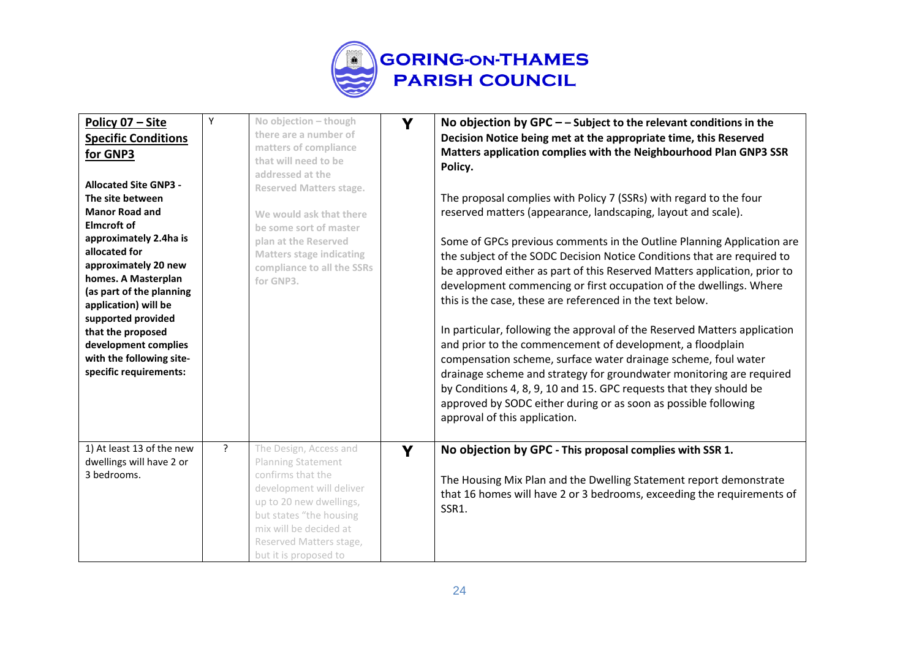

| Policy 07 - Site<br><b>Specific Conditions</b><br>for GNP3<br><b>Allocated Site GNP3 -</b><br>The site between<br><b>Manor Road and</b><br><b>Elmcroft of</b><br>approximately 2.4ha is<br>allocated for<br>approximately 20 new<br>homes. A Masterplan<br>(as part of the planning<br>application) will be<br>supported provided<br>that the proposed<br>development complies<br>with the following site-<br>specific requirements: | Υ            | No objection - though<br>there are a number of<br>matters of compliance<br>that will need to be<br>addressed at the<br><b>Reserved Matters stage.</b><br>We would ask that there<br>be some sort of master<br>plan at the Reserved<br><b>Matters stage indicating</b><br>compliance to all the SSRs<br>for GNP3. | Y | No objection by $GPC$ – – Subject to the relevant conditions in the<br>Decision Notice being met at the appropriate time, this Reserved<br>Matters application complies with the Neighbourhood Plan GNP3 SSR<br>Policy.<br>The proposal complies with Policy 7 (SSRs) with regard to the four<br>reserved matters (appearance, landscaping, layout and scale).<br>Some of GPCs previous comments in the Outline Planning Application are<br>the subject of the SODC Decision Notice Conditions that are required to<br>be approved either as part of this Reserved Matters application, prior to<br>development commencing or first occupation of the dwellings. Where<br>this is the case, these are referenced in the text below.<br>In particular, following the approval of the Reserved Matters application<br>and prior to the commencement of development, a floodplain<br>compensation scheme, surface water drainage scheme, foul water<br>drainage scheme and strategy for groundwater monitoring are required<br>by Conditions 4, 8, 9, 10 and 15. GPC requests that they should be<br>approved by SODC either during or as soon as possible following<br>approval of this application. |
|--------------------------------------------------------------------------------------------------------------------------------------------------------------------------------------------------------------------------------------------------------------------------------------------------------------------------------------------------------------------------------------------------------------------------------------|--------------|------------------------------------------------------------------------------------------------------------------------------------------------------------------------------------------------------------------------------------------------------------------------------------------------------------------|---|----------------------------------------------------------------------------------------------------------------------------------------------------------------------------------------------------------------------------------------------------------------------------------------------------------------------------------------------------------------------------------------------------------------------------------------------------------------------------------------------------------------------------------------------------------------------------------------------------------------------------------------------------------------------------------------------------------------------------------------------------------------------------------------------------------------------------------------------------------------------------------------------------------------------------------------------------------------------------------------------------------------------------------------------------------------------------------------------------------------------------------------------------------------------------------------------------|
| 1) At least 13 of the new<br>dwellings will have 2 or<br>3 bedrooms.                                                                                                                                                                                                                                                                                                                                                                 | $\mathbf{P}$ | The Design, Access and<br>Planning Statement<br>confirms that the<br>development will deliver<br>up to 20 new dwellings,<br>but states "the housing<br>mix will be decided at<br>Reserved Matters stage,<br>but it is proposed to                                                                                | Y | No objection by GPC - This proposal complies with SSR 1.<br>The Housing Mix Plan and the Dwelling Statement report demonstrate<br>that 16 homes will have 2 or 3 bedrooms, exceeding the requirements of<br>SSR1.                                                                                                                                                                                                                                                                                                                                                                                                                                                                                                                                                                                                                                                                                                                                                                                                                                                                                                                                                                                  |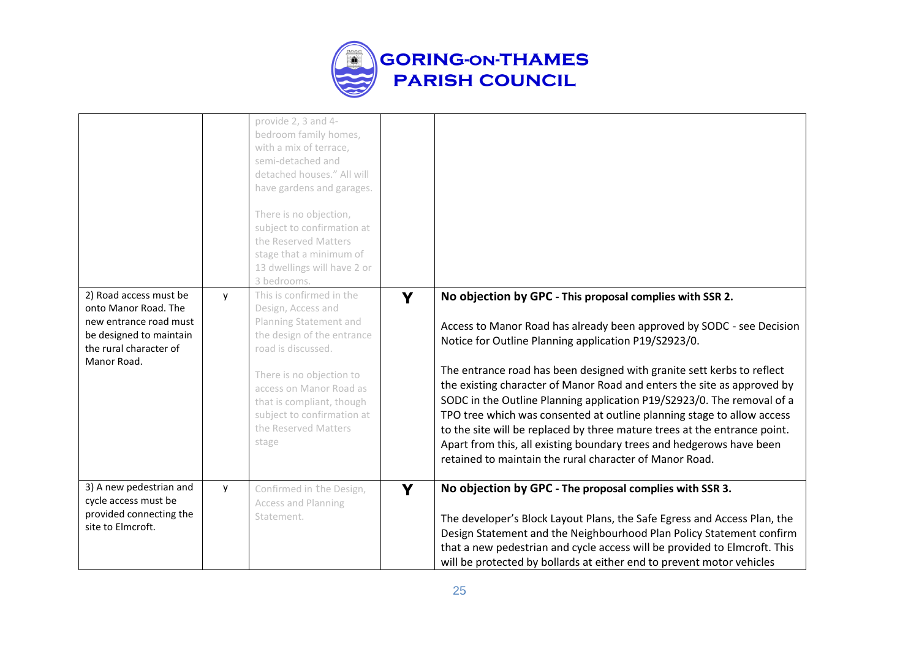

|                                                                                                                                              |          | provide 2, 3 and 4-<br>bedroom family homes,<br>with a mix of terrace,<br>semi-detached and<br>detached houses." All will<br>have gardens and garages.<br>There is no objection,<br>subject to confirmation at<br>the Reserved Matters<br>stage that a minimum of<br>13 dwellings will have 2 or<br>3 bedrooms. |   |                                                                                                                                                                                                                                                                                                                                                                                                                                                                                                                                                                                                                                                                                                                    |
|----------------------------------------------------------------------------------------------------------------------------------------------|----------|-----------------------------------------------------------------------------------------------------------------------------------------------------------------------------------------------------------------------------------------------------------------------------------------------------------------|---|--------------------------------------------------------------------------------------------------------------------------------------------------------------------------------------------------------------------------------------------------------------------------------------------------------------------------------------------------------------------------------------------------------------------------------------------------------------------------------------------------------------------------------------------------------------------------------------------------------------------------------------------------------------------------------------------------------------------|
| 2) Road access must be<br>onto Manor Road. The<br>new entrance road must<br>be designed to maintain<br>the rural character of<br>Manor Road. | V        | This is confirmed in the<br>Design, Access and<br>Planning Statement and<br>the design of the entrance<br>road is discussed.<br>There is no objection to<br>access on Manor Road as<br>that is compliant, though<br>subject to confirmation at<br>the Reserved Matters<br>stage                                 | Y | No objection by GPC - This proposal complies with SSR 2.<br>Access to Manor Road has already been approved by SODC - see Decision<br>Notice for Outline Planning application P19/S2923/0.<br>The entrance road has been designed with granite sett kerbs to reflect<br>the existing character of Manor Road and enters the site as approved by<br>SODC in the Outline Planning application P19/S2923/0. The removal of a<br>TPO tree which was consented at outline planning stage to allow access<br>to the site will be replaced by three mature trees at the entrance point.<br>Apart from this, all existing boundary trees and hedgerows have been<br>retained to maintain the rural character of Manor Road. |
| 3) A new pedestrian and<br>cycle access must be<br>provided connecting the<br>site to Elmcroft.                                              | <b>y</b> | Confirmed in the Design,<br>Access and Planning<br>Statement.                                                                                                                                                                                                                                                   | Y | No objection by GPC - The proposal complies with SSR 3.<br>The developer's Block Layout Plans, the Safe Egress and Access Plan, the<br>Design Statement and the Neighbourhood Plan Policy Statement confirm<br>that a new pedestrian and cycle access will be provided to Elmcroft. This<br>will be protected by bollards at either end to prevent motor vehicles                                                                                                                                                                                                                                                                                                                                                  |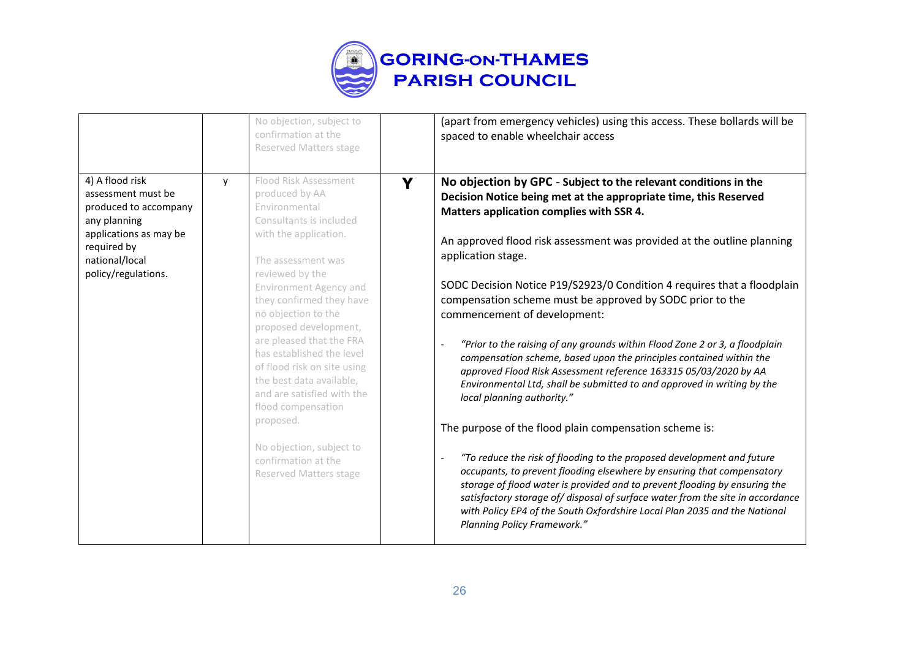

|                                                                                                                                                                  |   | No objection, subject to<br>confirmation at the<br><b>Reserved Matters stage</b>                                                                                                                                                                                                                                                                                                                                                                                                                                                            |   | (apart from emergency vehicles) using this access. These bollards will be<br>spaced to enable wheelchair access                                                                                                                                                                                                                                                                                                                                                                                                                                                                                                                                                                                                                                                                                                                                                                                                                                                                                                                                                                                                                                                                                                                                                                                                 |
|------------------------------------------------------------------------------------------------------------------------------------------------------------------|---|---------------------------------------------------------------------------------------------------------------------------------------------------------------------------------------------------------------------------------------------------------------------------------------------------------------------------------------------------------------------------------------------------------------------------------------------------------------------------------------------------------------------------------------------|---|-----------------------------------------------------------------------------------------------------------------------------------------------------------------------------------------------------------------------------------------------------------------------------------------------------------------------------------------------------------------------------------------------------------------------------------------------------------------------------------------------------------------------------------------------------------------------------------------------------------------------------------------------------------------------------------------------------------------------------------------------------------------------------------------------------------------------------------------------------------------------------------------------------------------------------------------------------------------------------------------------------------------------------------------------------------------------------------------------------------------------------------------------------------------------------------------------------------------------------------------------------------------------------------------------------------------|
| 4) A flood risk<br>assessment must be<br>produced to accompany<br>any planning<br>applications as may be<br>required by<br>national/local<br>policy/regulations. | v | Flood Risk Assessment<br>produced by AA<br>Environmental<br>Consultants is included<br>with the application.<br>The assessment was<br>reviewed by the<br><b>Environment Agency and</b><br>they confirmed they have<br>no objection to the<br>proposed development,<br>are pleased that the FRA<br>has established the level<br>of flood risk on site using<br>the best data available,<br>and are satisfied with the<br>flood compensation<br>proposed.<br>No objection, subject to<br>confirmation at the<br><b>Reserved Matters stage</b> | Y | No objection by GPC - Subject to the relevant conditions in the<br>Decision Notice being met at the appropriate time, this Reserved<br>Matters application complies with SSR 4.<br>An approved flood risk assessment was provided at the outline planning<br>application stage.<br>SODC Decision Notice P19/S2923/0 Condition 4 requires that a floodplain<br>compensation scheme must be approved by SODC prior to the<br>commencement of development:<br>"Prior to the raising of any grounds within Flood Zone 2 or 3, a floodplain<br>compensation scheme, based upon the principles contained within the<br>approved Flood Risk Assessment reference 163315 05/03/2020 by AA<br>Environmental Ltd, shall be submitted to and approved in writing by the<br>local planning authority."<br>The purpose of the flood plain compensation scheme is:<br>"To reduce the risk of flooding to the proposed development and future<br>$\overline{\phantom{a}}$<br>occupants, to prevent flooding elsewhere by ensuring that compensatory<br>storage of flood water is provided and to prevent flooding by ensuring the<br>satisfactory storage of/disposal of surface water from the site in accordance<br>with Policy EP4 of the South Oxfordshire Local Plan 2035 and the National<br>Planning Policy Framework." |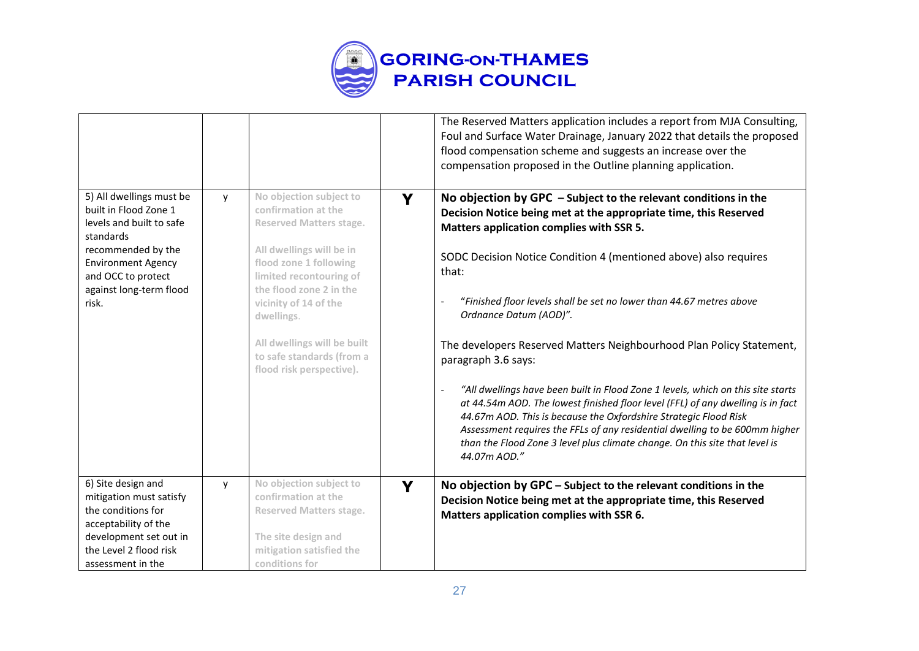

|                                                                                                                                                                                                         |   |                                                                                                                                                                                                                                                                                                                             |   | The Reserved Matters application includes a report from MJA Consulting,<br>Foul and Surface Water Drainage, January 2022 that details the proposed<br>flood compensation scheme and suggests an increase over the<br>compensation proposed in the Outline planning application.                                                                                                                                                                                                                                                                                                                                                                                                                                                                                                                                                                                                          |
|---------------------------------------------------------------------------------------------------------------------------------------------------------------------------------------------------------|---|-----------------------------------------------------------------------------------------------------------------------------------------------------------------------------------------------------------------------------------------------------------------------------------------------------------------------------|---|------------------------------------------------------------------------------------------------------------------------------------------------------------------------------------------------------------------------------------------------------------------------------------------------------------------------------------------------------------------------------------------------------------------------------------------------------------------------------------------------------------------------------------------------------------------------------------------------------------------------------------------------------------------------------------------------------------------------------------------------------------------------------------------------------------------------------------------------------------------------------------------|
| 5) All dwellings must be<br>built in Flood Zone 1<br>levels and built to safe<br>standards<br>recommended by the<br><b>Environment Agency</b><br>and OCC to protect<br>against long-term flood<br>risk. | v | No objection subject to<br>confirmation at the<br><b>Reserved Matters stage.</b><br>All dwellings will be in<br>flood zone 1 following<br>limited recontouring of<br>the flood zone 2 in the<br>vicinity of 14 of the<br>dwellings.<br>All dwellings will be built<br>to safe standards (from a<br>flood risk perspective). | Y | No objection by GPC $-$ Subject to the relevant conditions in the<br>Decision Notice being met at the appropriate time, this Reserved<br>Matters application complies with SSR 5.<br>SODC Decision Notice Condition 4 (mentioned above) also requires<br>that:<br>"Finished floor levels shall be set no lower than 44.67 metres above<br>Ordnance Datum (AOD)".<br>The developers Reserved Matters Neighbourhood Plan Policy Statement,<br>paragraph 3.6 says:<br>"All dwellings have been built in Flood Zone 1 levels, which on this site starts<br>at 44.54m AOD. The lowest finished floor level (FFL) of any dwelling is in fact<br>44.67m AOD. This is because the Oxfordshire Strategic Flood Risk<br>Assessment requires the FFLs of any residential dwelling to be 600mm higher<br>than the Flood Zone 3 level plus climate change. On this site that level is<br>44.07m AOD." |
| 6) Site design and<br>mitigation must satisfy<br>the conditions for<br>acceptability of the<br>development set out in<br>the Level 2 flood risk<br>assessment in the                                    | y | No objection subject to<br>confirmation at the<br><b>Reserved Matters stage.</b><br>The site design and<br>mitigation satisfied the<br>conditions for                                                                                                                                                                       | Y | No objection by GPC - Subject to the relevant conditions in the<br>Decision Notice being met at the appropriate time, this Reserved<br>Matters application complies with SSR 6.                                                                                                                                                                                                                                                                                                                                                                                                                                                                                                                                                                                                                                                                                                          |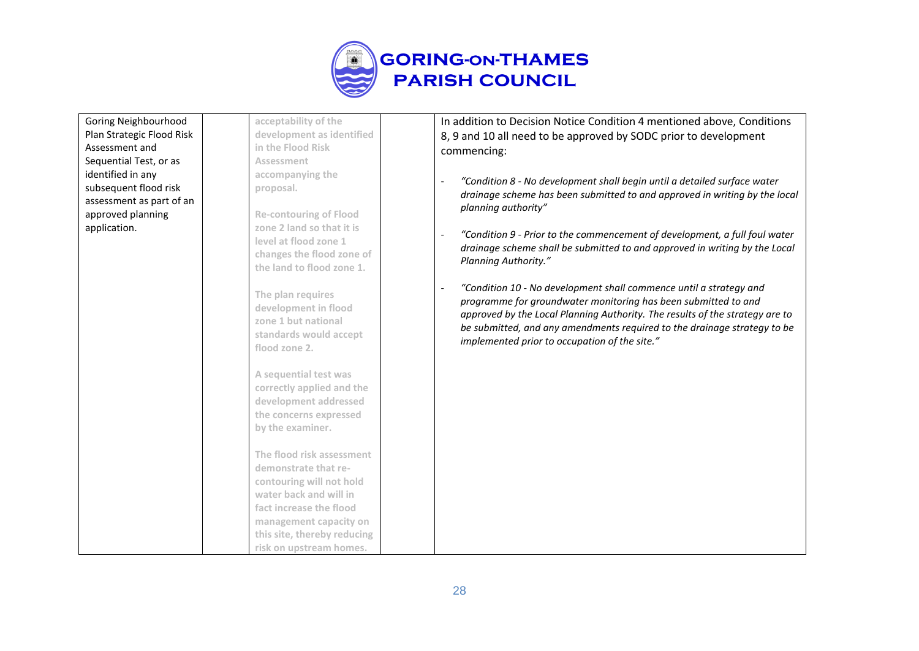

| Goring Neighbourhood      | acceptability of the                                                                       | In addition to Decision Notice Condition 4 mentioned above, Conditions                                                                                                                                                                                                                           |
|---------------------------|--------------------------------------------------------------------------------------------|--------------------------------------------------------------------------------------------------------------------------------------------------------------------------------------------------------------------------------------------------------------------------------------------------|
| Plan Strategic Flood Risk | development as identified                                                                  | 8, 9 and 10 all need to be approved by SODC prior to development                                                                                                                                                                                                                                 |
| Assessment and            | in the Flood Risk                                                                          | commencing:                                                                                                                                                                                                                                                                                      |
| Sequential Test, or as    | Assessment                                                                                 |                                                                                                                                                                                                                                                                                                  |
| identified in any         | accompanying the                                                                           |                                                                                                                                                                                                                                                                                                  |
| subsequent flood risk     | proposal.                                                                                  | "Condition 8 - No development shall begin until a detailed surface water                                                                                                                                                                                                                         |
| assessment as part of an  |                                                                                            | drainage scheme has been submitted to and approved in writing by the local                                                                                                                                                                                                                       |
| approved planning         | <b>Re-contouring of Flood</b>                                                              | planning authority"                                                                                                                                                                                                                                                                              |
| application.              | zone 2 land so that it is                                                                  |                                                                                                                                                                                                                                                                                                  |
|                           | level at flood zone 1                                                                      | "Condition 9 - Prior to the commencement of development, a full foul water                                                                                                                                                                                                                       |
|                           | changes the flood zone of                                                                  | drainage scheme shall be submitted to and approved in writing by the Local                                                                                                                                                                                                                       |
|                           | the land to flood zone 1.                                                                  | Planning Authority."                                                                                                                                                                                                                                                                             |
|                           |                                                                                            |                                                                                                                                                                                                                                                                                                  |
|                           | The plan requires<br>development in flood<br>zone 1 but national<br>standards would accept | "Condition 10 - No development shall commence until a strategy and<br>programme for groundwater monitoring has been submitted to and<br>approved by the Local Planning Authority. The results of the strategy are to<br>be submitted, and any amendments required to the drainage strategy to be |
|                           | flood zone 2.                                                                              | implemented prior to occupation of the site."                                                                                                                                                                                                                                                    |
|                           |                                                                                            |                                                                                                                                                                                                                                                                                                  |
|                           | A sequential test was                                                                      |                                                                                                                                                                                                                                                                                                  |
|                           | correctly applied and the                                                                  |                                                                                                                                                                                                                                                                                                  |
|                           | development addressed                                                                      |                                                                                                                                                                                                                                                                                                  |
|                           | the concerns expressed                                                                     |                                                                                                                                                                                                                                                                                                  |
|                           | by the examiner.                                                                           |                                                                                                                                                                                                                                                                                                  |
|                           |                                                                                            |                                                                                                                                                                                                                                                                                                  |
|                           | The flood risk assessment                                                                  |                                                                                                                                                                                                                                                                                                  |
|                           | demonstrate that re-                                                                       |                                                                                                                                                                                                                                                                                                  |
|                           | contouring will not hold                                                                   |                                                                                                                                                                                                                                                                                                  |
|                           | water back and will in                                                                     |                                                                                                                                                                                                                                                                                                  |
|                           | fact increase the flood                                                                    |                                                                                                                                                                                                                                                                                                  |
|                           | management capacity on                                                                     |                                                                                                                                                                                                                                                                                                  |
|                           | this site, thereby reducing                                                                |                                                                                                                                                                                                                                                                                                  |
|                           | risk on upstream homes.                                                                    |                                                                                                                                                                                                                                                                                                  |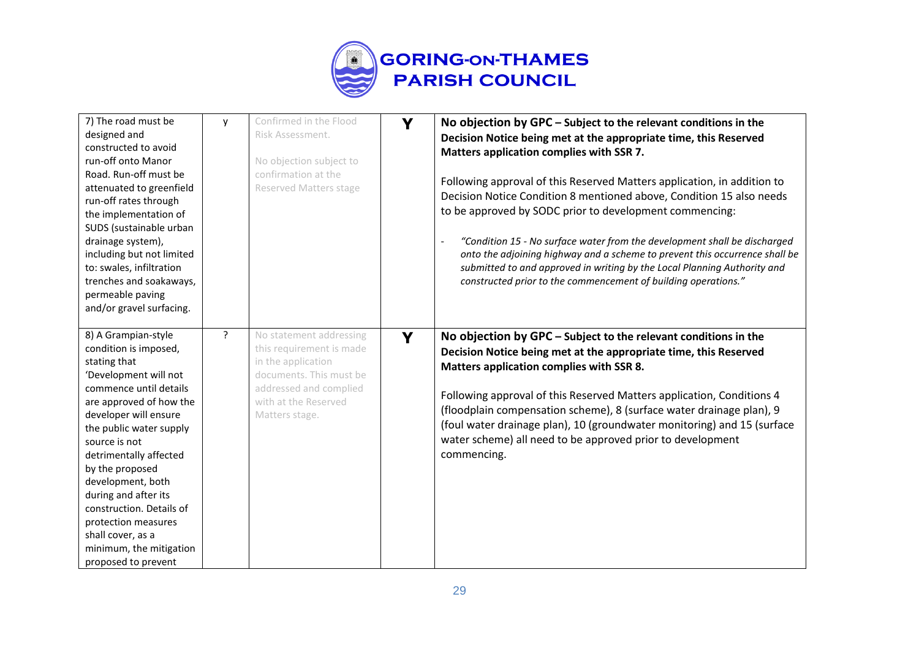

| 7) The road must be<br>designed and<br>constructed to avoid<br>run-off onto Manor<br>Road. Run-off must be<br>attenuated to greenfield<br>run-off rates through<br>the implementation of<br>SUDS (sustainable urban<br>drainage system),<br>including but not limited<br>to: swales, infiltration<br>trenches and soakaways,<br>permeable paving<br>and/or gravel surfacing.                                                        | y              | Confirmed in the Flood<br>Risk Assessment.<br>No objection subject to<br>confirmation at the<br>Reserved Matters stage                                                   | Y | No objection by GPC - Subject to the relevant conditions in the<br>Decision Notice being met at the appropriate time, this Reserved<br>Matters application complies with SSR 7.<br>Following approval of this Reserved Matters application, in addition to<br>Decision Notice Condition 8 mentioned above, Condition 15 also needs<br>to be approved by SODC prior to development commencing:<br>"Condition 15 - No surface water from the development shall be discharged<br>onto the adjoining highway and a scheme to prevent this occurrence shall be<br>submitted to and approved in writing by the Local Planning Authority and<br>constructed prior to the commencement of building operations." |
|-------------------------------------------------------------------------------------------------------------------------------------------------------------------------------------------------------------------------------------------------------------------------------------------------------------------------------------------------------------------------------------------------------------------------------------|----------------|--------------------------------------------------------------------------------------------------------------------------------------------------------------------------|---|---------------------------------------------------------------------------------------------------------------------------------------------------------------------------------------------------------------------------------------------------------------------------------------------------------------------------------------------------------------------------------------------------------------------------------------------------------------------------------------------------------------------------------------------------------------------------------------------------------------------------------------------------------------------------------------------------------|
| 8) A Grampian-style<br>condition is imposed,<br>stating that<br>'Development will not<br>commence until details<br>are approved of how the<br>developer will ensure<br>the public water supply<br>source is not<br>detrimentally affected<br>by the proposed<br>development, both<br>during and after its<br>construction. Details of<br>protection measures<br>shall cover, as a<br>minimum, the mitigation<br>proposed to prevent | $\overline{?}$ | No statement addressing<br>this requirement is made<br>in the application<br>documents. This must be<br>addressed and complied<br>with at the Reserved<br>Matters stage. | Y | No objection by GPC - Subject to the relevant conditions in the<br>Decision Notice being met at the appropriate time, this Reserved<br>Matters application complies with SSR 8.<br>Following approval of this Reserved Matters application, Conditions 4<br>(floodplain compensation scheme), 8 (surface water drainage plan), 9<br>(foul water drainage plan), 10 (groundwater monitoring) and 15 (surface<br>water scheme) all need to be approved prior to development<br>commencing.                                                                                                                                                                                                                |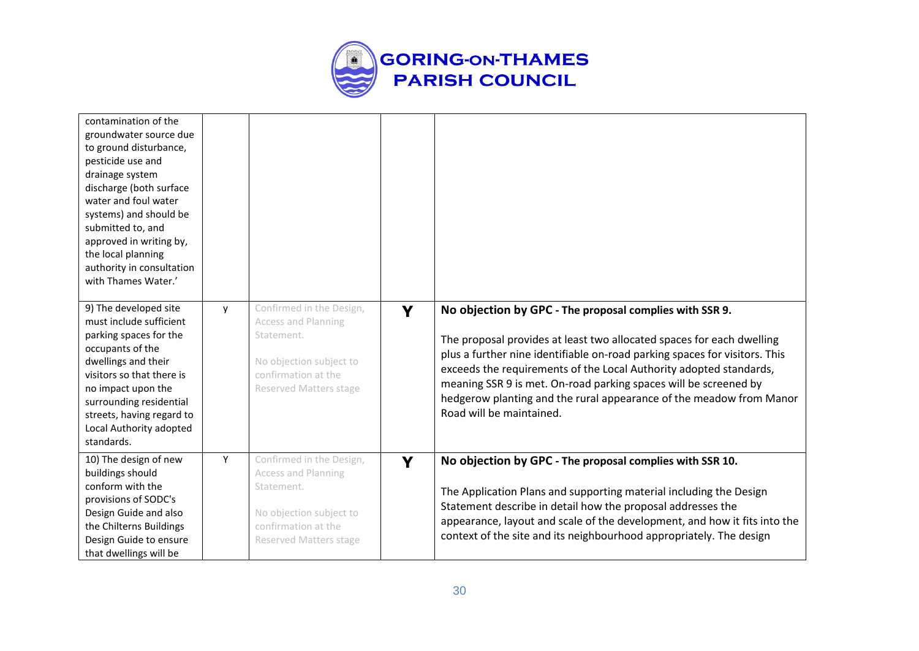

| contamination of the<br>groundwater source due<br>to ground disturbance,<br>pesticide use and<br>drainage system<br>discharge (both surface<br>water and foul water<br>systems) and should be<br>submitted to, and<br>approved in writing by,<br>the local planning<br>authority in consultation<br>with Thames Water.' |   |                                                                                                                                                         |   |                                                                                                                                                                                                                                                                                                                                                                                                                                                             |
|-------------------------------------------------------------------------------------------------------------------------------------------------------------------------------------------------------------------------------------------------------------------------------------------------------------------------|---|---------------------------------------------------------------------------------------------------------------------------------------------------------|---|-------------------------------------------------------------------------------------------------------------------------------------------------------------------------------------------------------------------------------------------------------------------------------------------------------------------------------------------------------------------------------------------------------------------------------------------------------------|
| 9) The developed site<br>must include sufficient<br>parking spaces for the<br>occupants of the<br>dwellings and their<br>visitors so that there is<br>no impact upon the<br>surrounding residential<br>streets, having regard to<br>Local Authority adopted<br>standards.                                               | y | Confirmed in the Design,<br><b>Access and Planning</b><br>Statement.<br>No objection subject to<br>confirmation at the<br><b>Reserved Matters stage</b> | Y | No objection by GPC - The proposal complies with SSR 9.<br>The proposal provides at least two allocated spaces for each dwelling<br>plus a further nine identifiable on-road parking spaces for visitors. This<br>exceeds the requirements of the Local Authority adopted standards,<br>meaning SSR 9 is met. On-road parking spaces will be screened by<br>hedgerow planting and the rural appearance of the meadow from Manor<br>Road will be maintained. |
| 10) The design of new<br>buildings should<br>conform with the<br>provisions of SODC's<br>Design Guide and also<br>the Chilterns Buildings<br>Design Guide to ensure<br>that dwellings will be                                                                                                                           | Y | Confirmed in the Design,<br><b>Access and Planning</b><br>Statement.<br>No objection subject to<br>confirmation at the<br><b>Reserved Matters stage</b> | Y | No objection by GPC - The proposal complies with SSR 10.<br>The Application Plans and supporting material including the Design<br>Statement describe in detail how the proposal addresses the<br>appearance, layout and scale of the development, and how it fits into the<br>context of the site and its neighbourhood appropriately. The design                                                                                                           |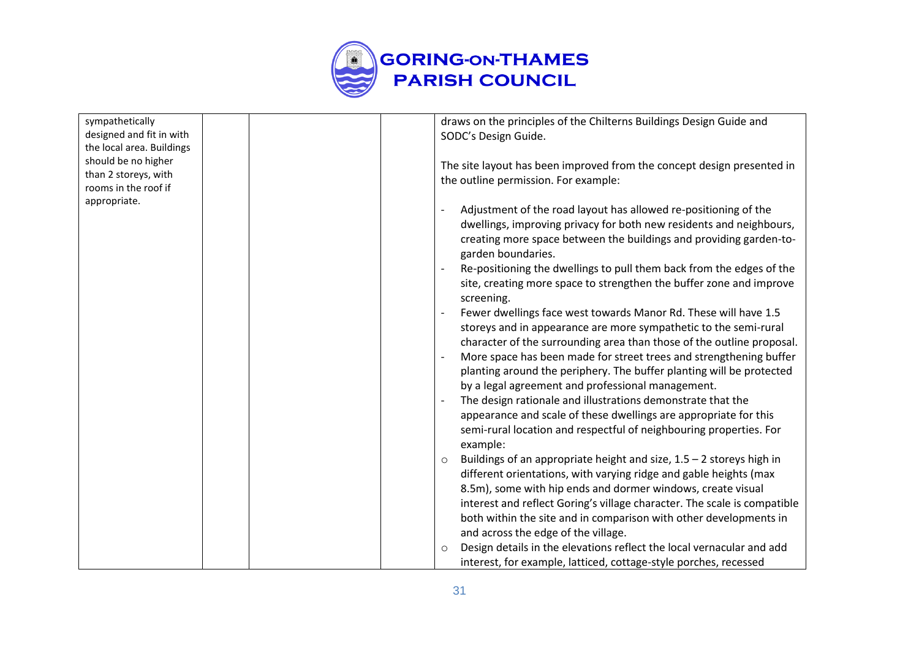

| sympathetically           |  |         | draws on the principles of the Chilterns Buildings Design Guide and      |
|---------------------------|--|---------|--------------------------------------------------------------------------|
| designed and fit in with  |  |         | SODC's Design Guide.                                                     |
| the local area. Buildings |  |         |                                                                          |
| should be no higher       |  |         | The site layout has been improved from the concept design presented in   |
| than 2 storeys, with      |  |         | the outline permission. For example:                                     |
| rooms in the roof if      |  |         |                                                                          |
| appropriate.              |  |         | Adjustment of the road layout has allowed re-positioning of the          |
|                           |  |         | dwellings, improving privacy for both new residents and neighbours,      |
|                           |  |         | creating more space between the buildings and providing garden-to-       |
|                           |  |         |                                                                          |
|                           |  |         | garden boundaries.                                                       |
|                           |  |         | Re-positioning the dwellings to pull them back from the edges of the     |
|                           |  |         | site, creating more space to strengthen the buffer zone and improve      |
|                           |  |         | screening.                                                               |
|                           |  |         | Fewer dwellings face west towards Manor Rd. These will have 1.5          |
|                           |  |         | storeys and in appearance are more sympathetic to the semi-rural         |
|                           |  |         | character of the surrounding area than those of the outline proposal.    |
|                           |  |         | More space has been made for street trees and strengthening buffer       |
|                           |  |         | planting around the periphery. The buffer planting will be protected     |
|                           |  |         | by a legal agreement and professional management.                        |
|                           |  |         | The design rationale and illustrations demonstrate that the              |
|                           |  |         | appearance and scale of these dwellings are appropriate for this         |
|                           |  |         | semi-rural location and respectful of neighbouring properties. For       |
|                           |  |         | example:                                                                 |
|                           |  | $\circ$ | Buildings of an appropriate height and size, $1.5 - 2$ storeys high in   |
|                           |  |         | different orientations, with varying ridge and gable heights (max        |
|                           |  |         | 8.5m), some with hip ends and dormer windows, create visual              |
|                           |  |         | interest and reflect Goring's village character. The scale is compatible |
|                           |  |         | both within the site and in comparison with other developments in        |
|                           |  |         | and across the edge of the village.                                      |
|                           |  |         |                                                                          |
|                           |  | $\circ$ | Design details in the elevations reflect the local vernacular and add    |
|                           |  |         | interest, for example, latticed, cottage-style porches, recessed         |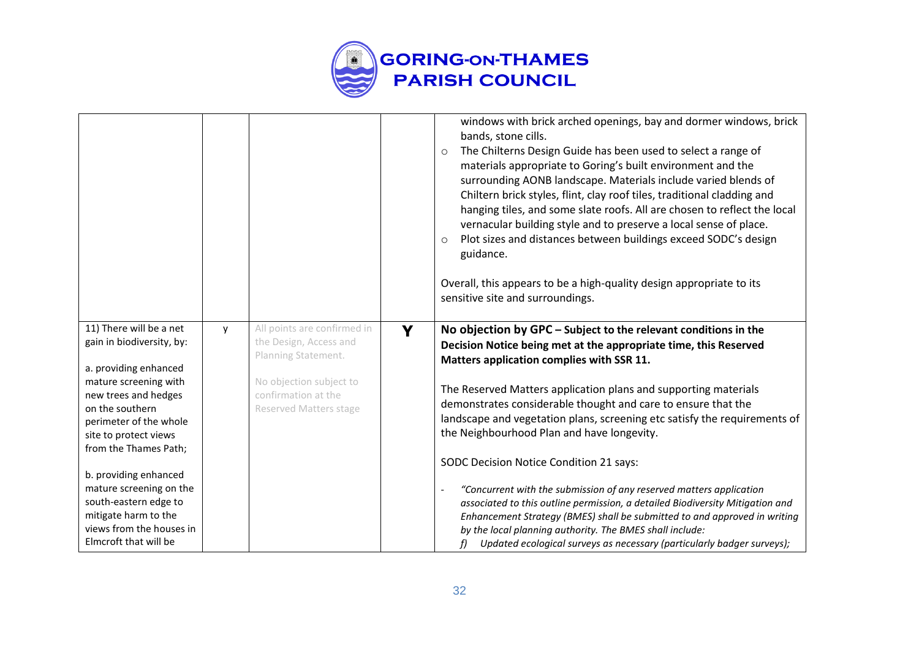

|                                                                                                                                                                                                                               |   |                                                                                                                                                                 |   | windows with brick arched openings, bay and dormer windows, brick<br>bands, stone cills.<br>The Chilterns Design Guide has been used to select a range of<br>$\circ$<br>materials appropriate to Goring's built environment and the<br>surrounding AONB landscape. Materials include varied blends of<br>Chiltern brick styles, flint, clay roof tiles, traditional cladding and<br>hanging tiles, and some slate roofs. All are chosen to reflect the local<br>vernacular building style and to preserve a local sense of place.<br>Plot sizes and distances between buildings exceed SODC's design<br>$\circ$<br>guidance.<br>Overall, this appears to be a high-quality design appropriate to its<br>sensitive site and surroundings. |
|-------------------------------------------------------------------------------------------------------------------------------------------------------------------------------------------------------------------------------|---|-----------------------------------------------------------------------------------------------------------------------------------------------------------------|---|------------------------------------------------------------------------------------------------------------------------------------------------------------------------------------------------------------------------------------------------------------------------------------------------------------------------------------------------------------------------------------------------------------------------------------------------------------------------------------------------------------------------------------------------------------------------------------------------------------------------------------------------------------------------------------------------------------------------------------------|
| 11) There will be a net<br>gain in biodiversity, by:<br>a. providing enhanced<br>mature screening with<br>new trees and hedges<br>on the southern<br>perimeter of the whole<br>site to protect views<br>from the Thames Path; | y | All points are confirmed in<br>the Design, Access and<br>Planning Statement.<br>No objection subject to<br>confirmation at the<br><b>Reserved Matters stage</b> | Y | No objection by GPC – Subject to the relevant conditions in the<br>Decision Notice being met at the appropriate time, this Reserved<br>Matters application complies with SSR 11.<br>The Reserved Matters application plans and supporting materials<br>demonstrates considerable thought and care to ensure that the<br>landscape and vegetation plans, screening etc satisfy the requirements of<br>the Neighbourhood Plan and have longevity.                                                                                                                                                                                                                                                                                          |
| b. providing enhanced<br>mature screening on the<br>south-eastern edge to<br>mitigate harm to the<br>views from the houses in<br>Elmcroft that will be                                                                        |   |                                                                                                                                                                 |   | SODC Decision Notice Condition 21 says:<br>"Concurrent with the submission of any reserved matters application<br>associated to this outline permission, a detailed Biodiversity Mitigation and<br>Enhancement Strategy (BMES) shall be submitted to and approved in writing<br>by the local planning authority. The BMES shall include:<br>Updated ecological surveys as necessary (particularly badger surveys);<br>f)                                                                                                                                                                                                                                                                                                                 |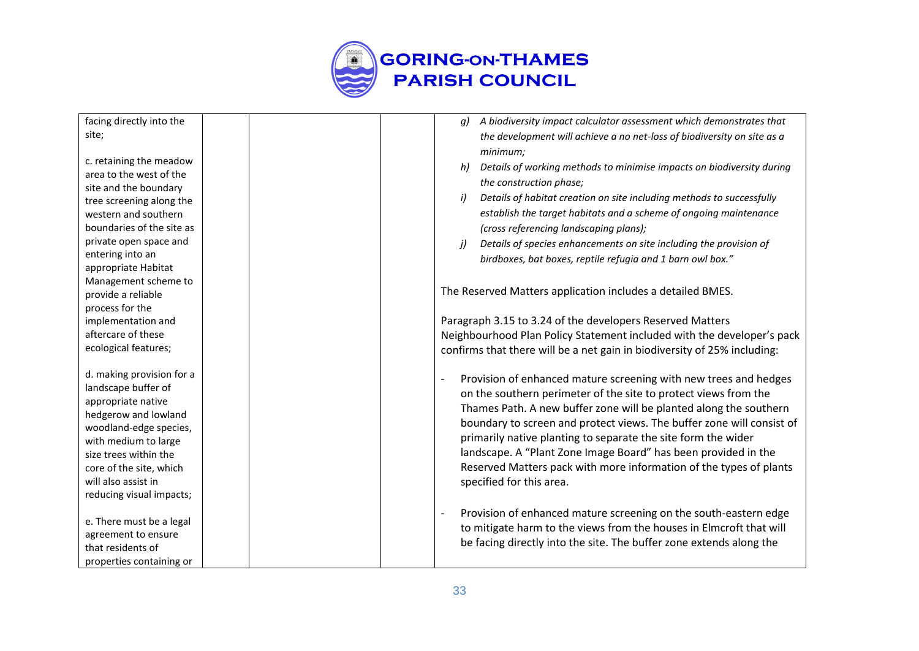

| facing directly into the  | A biodiversity impact calculator assessment which demonstrates that<br>q)   |
|---------------------------|-----------------------------------------------------------------------------|
| site;                     | the development will achieve a no net-loss of biodiversity on site as a     |
|                           | minimum;                                                                    |
| c. retaining the meadow   | Details of working methods to minimise impacts on biodiversity during<br>h) |
| area to the west of the   |                                                                             |
| site and the boundary     | the construction phase;                                                     |
| tree screening along the  | Details of habitat creation on site including methods to successfully<br>i) |
| western and southern      | establish the target habitats and a scheme of ongoing maintenance           |
| boundaries of the site as | (cross referencing landscaping plans);                                      |
| private open space and    | Details of species enhancements on site including the provision of<br>i)    |
| entering into an          | birdboxes, bat boxes, reptile refugia and 1 barn owl box."                  |
| appropriate Habitat       |                                                                             |
| Management scheme to      |                                                                             |
| provide a reliable        | The Reserved Matters application includes a detailed BMES.                  |
| process for the           |                                                                             |
| implementation and        | Paragraph 3.15 to 3.24 of the developers Reserved Matters                   |
| aftercare of these        | Neighbourhood Plan Policy Statement included with the developer's pack      |
| ecological features;      | confirms that there will be a net gain in biodiversity of 25% including:    |
|                           |                                                                             |
| d. making provision for a | Provision of enhanced mature screening with new trees and hedges            |
| landscape buffer of       | on the southern perimeter of the site to protect views from the             |
| appropriate native        | Thames Path. A new buffer zone will be planted along the southern           |
| hedgerow and lowland      | boundary to screen and protect views. The buffer zone will consist of       |
| woodland-edge species,    |                                                                             |
| with medium to large      | primarily native planting to separate the site form the wider               |
| size trees within the     | landscape. A "Plant Zone Image Board" has been provided in the              |
| core of the site, which   | Reserved Matters pack with more information of the types of plants          |
| will also assist in       | specified for this area.                                                    |
| reducing visual impacts;  |                                                                             |
|                           | Provision of enhanced mature screening on the south-eastern edge            |
| e. There must be a legal  | to mitigate harm to the views from the houses in Elmcroft that will         |
| agreement to ensure       | be facing directly into the site. The buffer zone extends along the         |
| that residents of         |                                                                             |
| properties containing or  |                                                                             |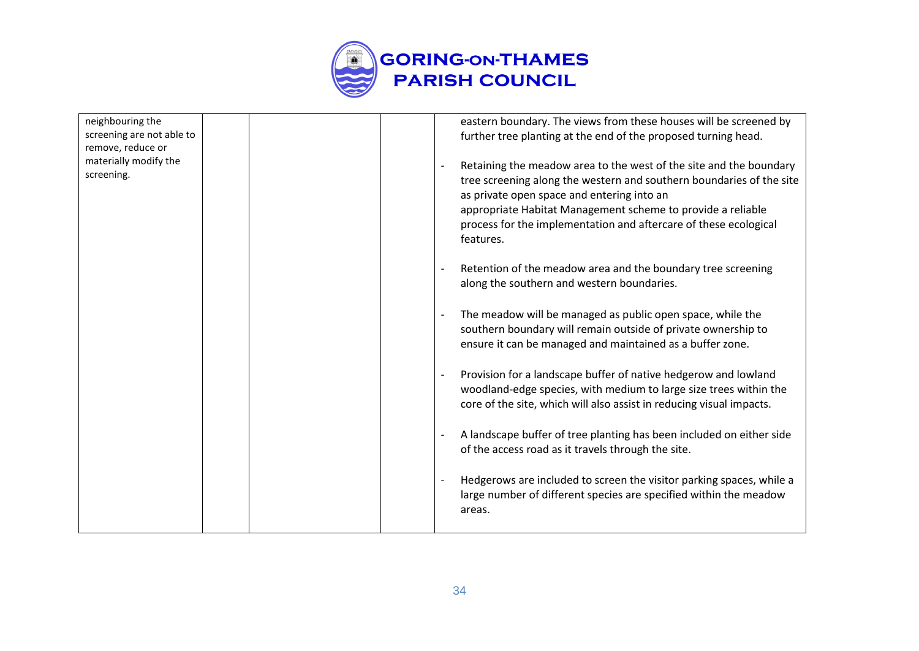

| neighbouring the<br>screening are not able to<br>remove, reduce or<br>materially modify the<br>screening. |                                                                                                                                                                                                                                                                                                                                          |  | eastern boundary. The views from these houses will be screened by<br>further tree planting at the end of the proposed turning head.                                                                                  |
|-----------------------------------------------------------------------------------------------------------|------------------------------------------------------------------------------------------------------------------------------------------------------------------------------------------------------------------------------------------------------------------------------------------------------------------------------------------|--|----------------------------------------------------------------------------------------------------------------------------------------------------------------------------------------------------------------------|
|                                                                                                           | Retaining the meadow area to the west of the site and the boundary<br>tree screening along the western and southern boundaries of the site<br>as private open space and entering into an<br>appropriate Habitat Management scheme to provide a reliable<br>process for the implementation and aftercare of these ecological<br>features. |  |                                                                                                                                                                                                                      |
|                                                                                                           |                                                                                                                                                                                                                                                                                                                                          |  | Retention of the meadow area and the boundary tree screening<br>along the southern and western boundaries.                                                                                                           |
|                                                                                                           |                                                                                                                                                                                                                                                                                                                                          |  | The meadow will be managed as public open space, while the<br>$\overline{\phantom{a}}$<br>southern boundary will remain outside of private ownership to<br>ensure it can be managed and maintained as a buffer zone. |
|                                                                                                           |                                                                                                                                                                                                                                                                                                                                          |  | Provision for a landscape buffer of native hedgerow and lowland<br>woodland-edge species, with medium to large size trees within the<br>core of the site, which will also assist in reducing visual impacts.         |
|                                                                                                           |                                                                                                                                                                                                                                                                                                                                          |  | A landscape buffer of tree planting has been included on either side<br>of the access road as it travels through the site.                                                                                           |
|                                                                                                           |                                                                                                                                                                                                                                                                                                                                          |  | Hedgerows are included to screen the visitor parking spaces, while a<br>large number of different species are specified within the meadow<br>areas.                                                                  |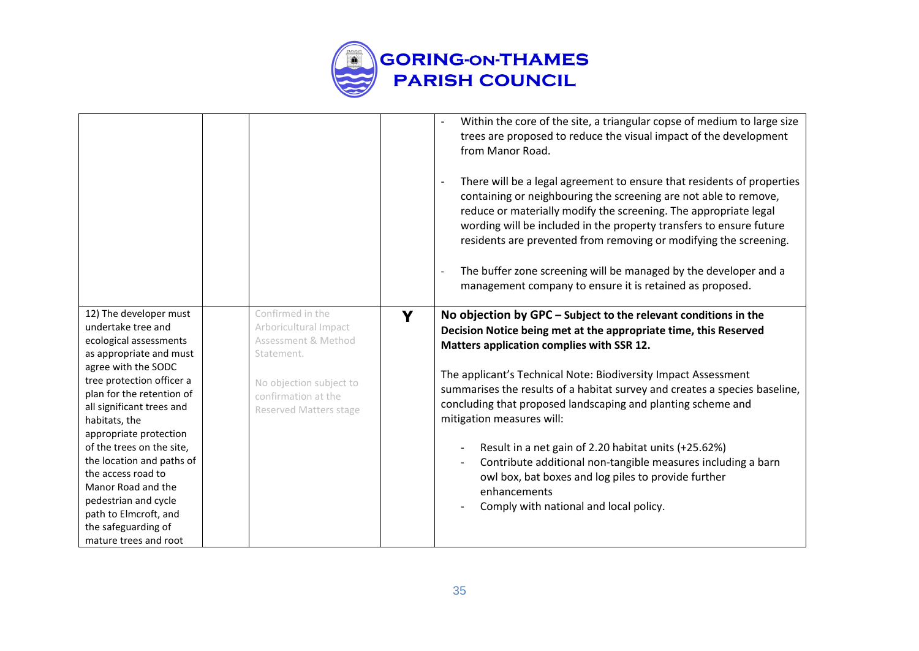

|                                              |                                           |   | Within the core of the site, a triangular copse of medium to large size<br>trees are proposed to reduce the visual impact of the development<br>from Manor Road.<br>There will be a legal agreement to ensure that residents of properties<br>containing or neighbouring the screening are not able to remove,<br>reduce or materially modify the screening. The appropriate legal<br>wording will be included in the property transfers to ensure future<br>residents are prevented from removing or modifying the screening.<br>The buffer zone screening will be managed by the developer and a<br>management company to ensure it is retained as proposed. |
|----------------------------------------------|-------------------------------------------|---|----------------------------------------------------------------------------------------------------------------------------------------------------------------------------------------------------------------------------------------------------------------------------------------------------------------------------------------------------------------------------------------------------------------------------------------------------------------------------------------------------------------------------------------------------------------------------------------------------------------------------------------------------------------|
| 12) The developer must<br>undertake tree and | Confirmed in the<br>Arboricultural Impact | Y | No objection by GPC - Subject to the relevant conditions in the                                                                                                                                                                                                                                                                                                                                                                                                                                                                                                                                                                                                |
| ecological assessments                       | Assessment & Method                       |   | Decision Notice being met at the appropriate time, this Reserved                                                                                                                                                                                                                                                                                                                                                                                                                                                                                                                                                                                               |
| as appropriate and must                      | Statement.                                |   | Matters application complies with SSR 12.                                                                                                                                                                                                                                                                                                                                                                                                                                                                                                                                                                                                                      |
| agree with the SODC                          |                                           |   | The applicant's Technical Note: Biodiversity Impact Assessment                                                                                                                                                                                                                                                                                                                                                                                                                                                                                                                                                                                                 |
| tree protection officer a                    | No objection subject to                   |   | summarises the results of a habitat survey and creates a species baseline,                                                                                                                                                                                                                                                                                                                                                                                                                                                                                                                                                                                     |
| plan for the retention of                    | confirmation at the                       |   | concluding that proposed landscaping and planting scheme and                                                                                                                                                                                                                                                                                                                                                                                                                                                                                                                                                                                                   |
| all significant trees and                    | <b>Reserved Matters stage</b>             |   | mitigation measures will:                                                                                                                                                                                                                                                                                                                                                                                                                                                                                                                                                                                                                                      |
| habitats, the<br>appropriate protection      |                                           |   |                                                                                                                                                                                                                                                                                                                                                                                                                                                                                                                                                                                                                                                                |
| of the trees on the site,                    |                                           |   | Result in a net gain of 2.20 habitat units (+25.62%)                                                                                                                                                                                                                                                                                                                                                                                                                                                                                                                                                                                                           |
| the location and paths of                    |                                           |   | Contribute additional non-tangible measures including a barn<br>$\overline{\phantom{a}}$                                                                                                                                                                                                                                                                                                                                                                                                                                                                                                                                                                       |
| the access road to                           |                                           |   | owl box, bat boxes and log piles to provide further                                                                                                                                                                                                                                                                                                                                                                                                                                                                                                                                                                                                            |
| Manor Road and the                           |                                           |   | enhancements                                                                                                                                                                                                                                                                                                                                                                                                                                                                                                                                                                                                                                                   |
| pedestrian and cycle                         |                                           |   | Comply with national and local policy.                                                                                                                                                                                                                                                                                                                                                                                                                                                                                                                                                                                                                         |
| path to Elmcroft, and                        |                                           |   |                                                                                                                                                                                                                                                                                                                                                                                                                                                                                                                                                                                                                                                                |
| the safeguarding of                          |                                           |   |                                                                                                                                                                                                                                                                                                                                                                                                                                                                                                                                                                                                                                                                |
| mature trees and root                        |                                           |   |                                                                                                                                                                                                                                                                                                                                                                                                                                                                                                                                                                                                                                                                |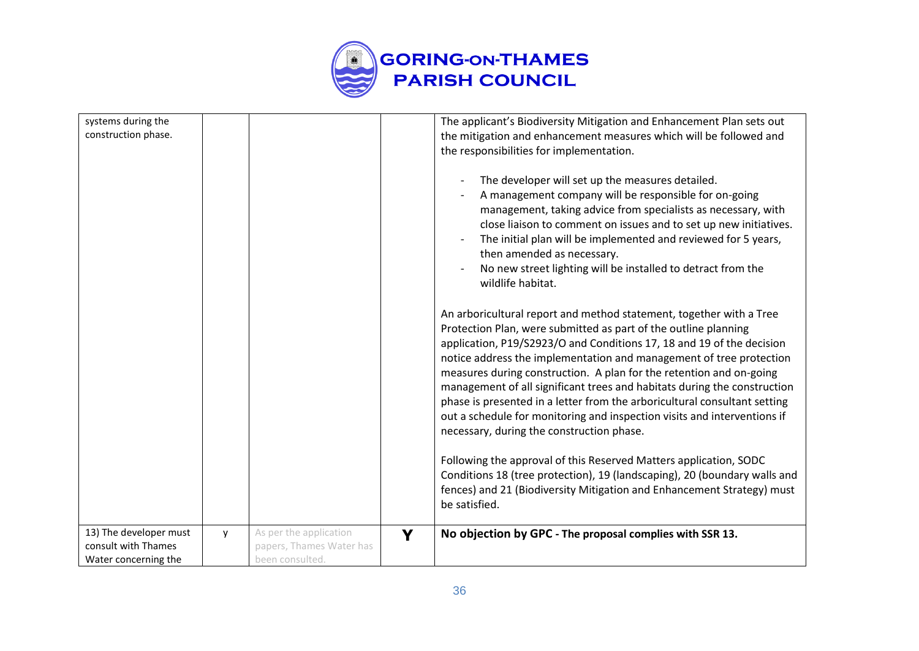

| systems during the<br>construction phase.                             |   |                                                                       |   | The applicant's Biodiversity Mitigation and Enhancement Plan sets out<br>the mitigation and enhancement measures which will be followed and<br>the responsibilities for implementation.<br>The developer will set up the measures detailed.<br>A management company will be responsible for on-going<br>management, taking advice from specialists as necessary, with<br>close liaison to comment on issues and to set up new initiatives.<br>The initial plan will be implemented and reviewed for 5 years,<br>then amended as necessary.<br>No new street lighting will be installed to detract from the<br>wildlife habitat.<br>An arboricultural report and method statement, together with a Tree<br>Protection Plan, were submitted as part of the outline planning<br>application, P19/S2923/O and Conditions 17, 18 and 19 of the decision<br>notice address the implementation and management of tree protection<br>measures during construction. A plan for the retention and on-going<br>management of all significant trees and habitats during the construction<br>phase is presented in a letter from the arboricultural consultant setting |
|-----------------------------------------------------------------------|---|-----------------------------------------------------------------------|---|-----------------------------------------------------------------------------------------------------------------------------------------------------------------------------------------------------------------------------------------------------------------------------------------------------------------------------------------------------------------------------------------------------------------------------------------------------------------------------------------------------------------------------------------------------------------------------------------------------------------------------------------------------------------------------------------------------------------------------------------------------------------------------------------------------------------------------------------------------------------------------------------------------------------------------------------------------------------------------------------------------------------------------------------------------------------------------------------------------------------------------------------------------------|
|                                                                       |   |                                                                       |   | out a schedule for monitoring and inspection visits and interventions if<br>necessary, during the construction phase.                                                                                                                                                                                                                                                                                                                                                                                                                                                                                                                                                                                                                                                                                                                                                                                                                                                                                                                                                                                                                                     |
|                                                                       |   |                                                                       |   | Following the approval of this Reserved Matters application, SODC<br>Conditions 18 (tree protection), 19 (landscaping), 20 (boundary walls and<br>fences) and 21 (Biodiversity Mitigation and Enhancement Strategy) must<br>be satisfied.                                                                                                                                                                                                                                                                                                                                                                                                                                                                                                                                                                                                                                                                                                                                                                                                                                                                                                                 |
| 13) The developer must<br>consult with Thames<br>Water concerning the | y | As per the application<br>papers, Thames Water has<br>been consulted. | Y | No objection by GPC - The proposal complies with SSR 13.                                                                                                                                                                                                                                                                                                                                                                                                                                                                                                                                                                                                                                                                                                                                                                                                                                                                                                                                                                                                                                                                                                  |